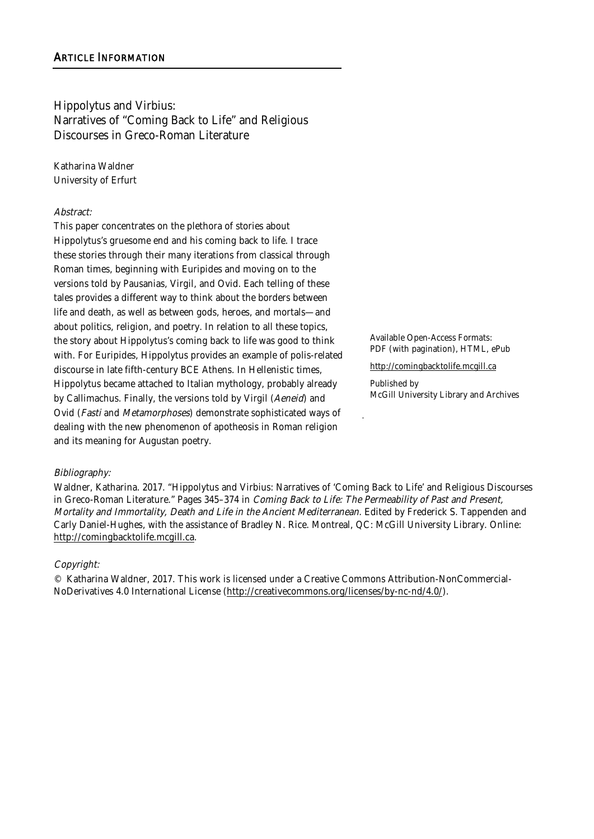Hippolytus and Virbius: Narratives of "Coming Back to Life" and Religious Discourses in Greco-Roman Literature

Katharina Waldner University of Erfurt

### Abstract:

This paper concentrates on the plethora of stories about Hippolytus's gruesome end and his coming back to life. I trace these stories through their many iterations from classical through Roman times, beginning with Euripides and moving on to the versions told by Pausanias, Virgil, and Ovid. Each telling of these tales provides a different way to think about the borders between life and death, as well as between gods, heroes, and mortals—and about politics, religion, and poetry. In relation to all these topics, the story about Hippolytus's coming back to life was good to think with. For Euripides, Hippolytus provides an example of polis-related discourse in late fifth-century BCE Athens. In Hellenistic times, Hippolytus became attached to Italian mythology, probably already by Callimachus. Finally, the versions told by Virgil (Aeneid) and Ovid (Fasti and Metamorphoses) demonstrate sophisticated ways of dealing with the new phenomenon of apotheosis in Roman religion and its meaning for Augustan poetry.

Available Open-Access Formats: PDF (with pagination), HTML, ePub

http://comingbacktolife.mcgill.ca

Published by McGill University Library and Archives

# Bibliography:

Waldner, Katharina. 2017. "Hippolytus and Virbius: Narratives of 'Coming Back to Life' and Religious Discourses in Greco-Roman Literature." Pages 345-374 in Coming Back to Life: The Permeability of Past and Present, Mortality and Immortality, Death and Life in the Ancient Mediterranean. Edited by Frederick S. Tappenden and Carly Daniel-Hughes, with the assistance of Bradley N. Rice. Montreal, QC: McGill University Library. Online: http://comingbacktolife.mcgill.ca.

### Copyright:

© Katharina Waldner, 2017. This work is licensed under a Creative Commons Attribution-NonCommercial-NoDerivatives 4.0 International License (http://creativecommons.org/licenses/by-nc-nd/4.0/).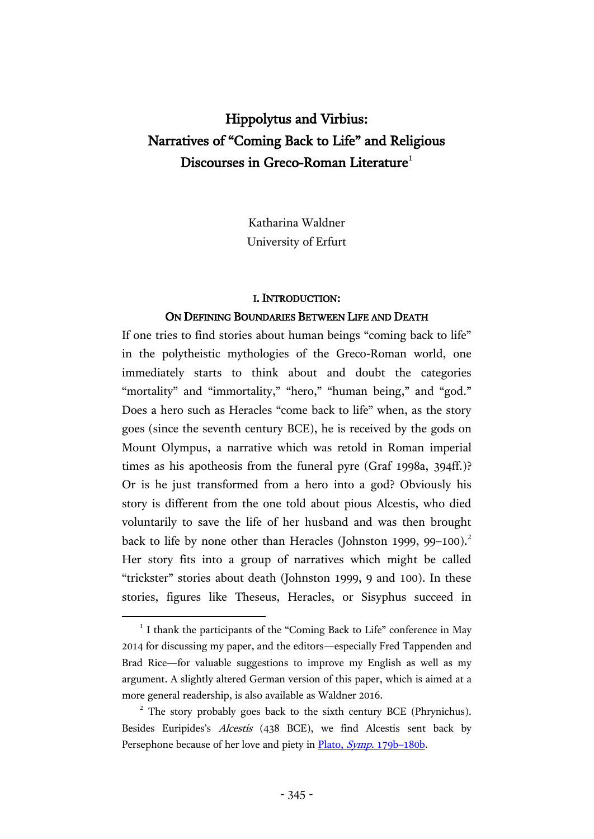# Hippolytus and Virbius: Narratives of "Coming Back to Life" and Religious Discourses in Greco-Roman Literature $^1$

Katharina Waldner University of Erfurt

### I. INTRODUCTION:

### ON DEFINING BOUNDARIES BETWEEN LIFE AND DEATH

If one tries to find stories about human beings "coming back to life" in the polytheistic mythologies of the Greco-Roman world, one immediately starts to think about and doubt the categories "mortality" and "immortality," "hero," "human being," and "god." Does a hero such as Heracles "come back to life" when, as the story goes (since the seventh century BCE), he is received by the gods on Mount Olympus, a narrative which was retold in Roman imperial times as his apotheosis from the funeral pyre (Graf 1998a, 394ff.)? Or is he just transformed from a hero into a god? Obviously his story is different from the one told about pious Alcestis, who died voluntarily to save the life of her husband and was then brought back to life by none other than Heracles (Johnston 1999, 99–100).<sup>2</sup> Her story fits into a group of narratives which might be called "trickster" stories about death (Johnston 1999, 9 and 100). In these stories, figures like Theseus, Heracles, or Sisyphus succeed in

<sup>&</sup>lt;sup>1</sup> I thank the participants of the "Coming Back to Life" conference in May 2014 for discussing my paper, and the editors—especially Fred Tappenden and Brad Rice—for valuable suggestions to improve my English as well as my argument. A slightly altered German version of this paper, which is aimed at a more general readership, is also available as Waldner 2016.

<sup>&</sup>lt;sup>2</sup> The story probably goes back to the sixth century BCE (Phrynichus). Besides Euripides's Alcestis (438 BCE), we find Alcestis sent back by Persephone because of her love and piety in [Plato,](http://data.perseus.org/citations/urn:cts:greekLit:tlg0059.tlg011.perseus-grc1:179b) Symp. 179b–180b.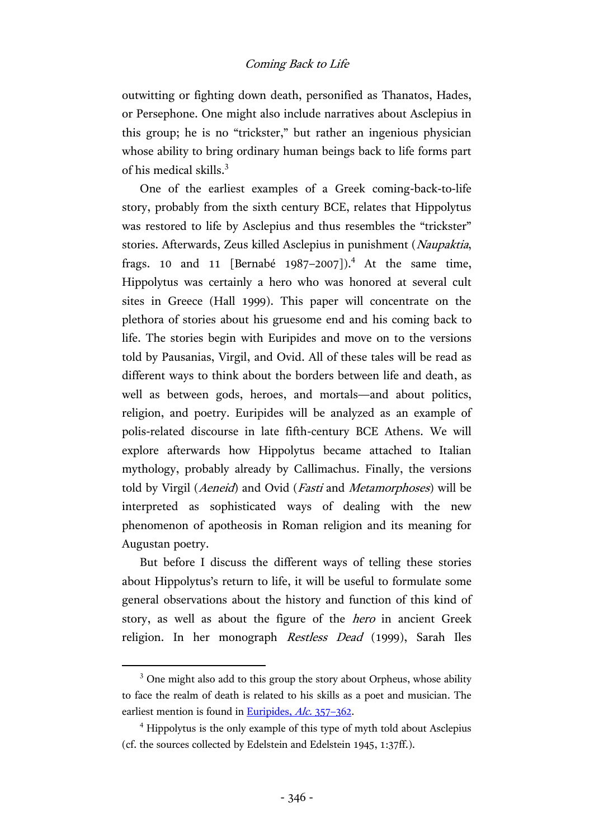outwitting or fighting down death, personified as Thanatos, Hades, or Persephone. One might also include narratives about Asclepius in this group; he is no "trickster," but rather an ingenious physician whose ability to bring ordinary human beings back to life forms part of his medical skills.<sup>3</sup>

One of the earliest examples of a Greek coming-back-to-life story, probably from the sixth century BCE, relates that Hippolytus was restored to life by Asclepius and thus resembles the "trickster" stories. Afterwards, Zeus killed Asclepius in punishment (Naupaktia, frags. 10 and 11 [Bernabé 1987–2007]).<sup>4</sup> At the same time, Hippolytus was certainly a hero who was honored at several cult sites in Greece (Hall 1999). This paper will concentrate on the plethora of stories about his gruesome end and his coming back to life. The stories begin with Euripides and move on to the versions told by Pausanias, Virgil, and Ovid. All of these tales will be read as different ways to think about the borders between life and death, as well as between gods, heroes, and mortals—and about politics, religion, and poetry. Euripides will be analyzed as an example of polis-related discourse in late fifth-century BCE Athens. We will explore afterwards how Hippolytus became attached to Italian mythology, probably already by Callimachus. Finally, the versions told by Virgil (Aeneid) and Ovid (Fasti and Metamorphoses) will be interpreted as sophisticated ways of dealing with the new phenomenon of apotheosis in Roman religion and its meaning for Augustan poetry.

But before I discuss the different ways of telling these stories about Hippolytus's return to life, it will be useful to formulate some general observations about the history and function of this kind of story, as well as about the figure of the hero in ancient Greek religion. In her monograph Restless Dead (1999), Sarah Iles

<sup>&</sup>lt;sup>3</sup> One might also add to this group the story about Orpheus, whose ability to face the realm of death is related to his skills as a poet and musician. The earliest mention is found in [Euripides,](http://data.perseus.org/citations/urn:cts:greekLit:tlg0006.tlg002.perseus-grc1:328-370) Alc. 357-362.

<sup>4</sup> Hippolytus is the only example of this type of myth told about Asclepius (cf. the sources collected by Edelstein and Edelstein 1945, 1:37ff.).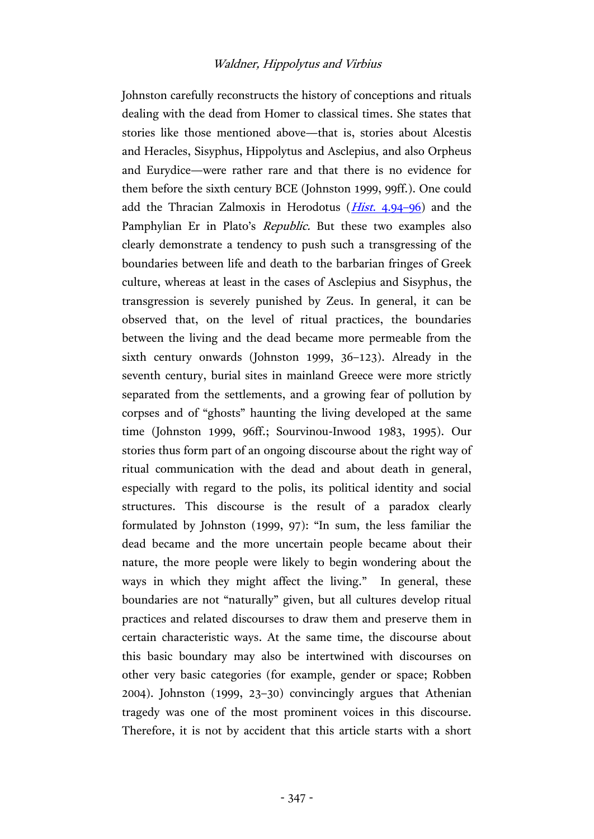Johnston carefully reconstructs the history of conceptions and rituals dealing with the dead from Homer to classical times. She states that stories like those mentioned above—that is, stories about Alcestis and Heracles, Sisyphus, Hippolytus and Asclepius, and also Orpheus and Eurydice—were rather rare and that there is no evidence for them before the sixth century BCE (Johnston 1999, 99ff.). One could add the Thracian Zalmoxis in Herodotus  $(Hist. 4.94-96)$  $(Hist. 4.94-96)$  $(Hist. 4.94-96)$  and the Pamphylian Er in Plato's Republic. But these two examples also clearly demonstrate a tendency to push such a transgressing of the boundaries between life and death to the barbarian fringes of Greek culture, whereas at least in the cases of Asclepius and Sisyphus, the transgression is severely punished by Zeus. In general, it can be observed that, on the level of ritual practices, the boundaries between the living and the dead became more permeable from the sixth century onwards (Johnston 1999, 36–123). Already in the seventh century, burial sites in mainland Greece were more strictly separated from the settlements, and a growing fear of pollution by corpses and of "ghosts" haunting the living developed at the same time (Johnston 1999, 96ff.; Sourvinou-Inwood 1983, 1995). Our stories thus form part of an ongoing discourse about the right way of ritual communication with the dead and about death in general, especially with regard to the polis, its political identity and social structures. This discourse is the result of a paradox clearly formulated by Johnston (1999, 97): "In sum, the less familiar the dead became and the more uncertain people became about their nature, the more people were likely to begin wondering about the ways in which they might affect the living." In general, these boundaries are not "naturally" given, but all cultures develop ritual practices and related discourses to draw them and preserve them in certain characteristic ways. At the same time, the discourse about this basic boundary may also be intertwined with discourses on other very basic categories (for example, gender or space; Robben 2004). Johnston (1999, 23–30) convincingly argues that Athenian tragedy was one of the most prominent voices in this discourse. Therefore, it is not by accident that this article starts with a short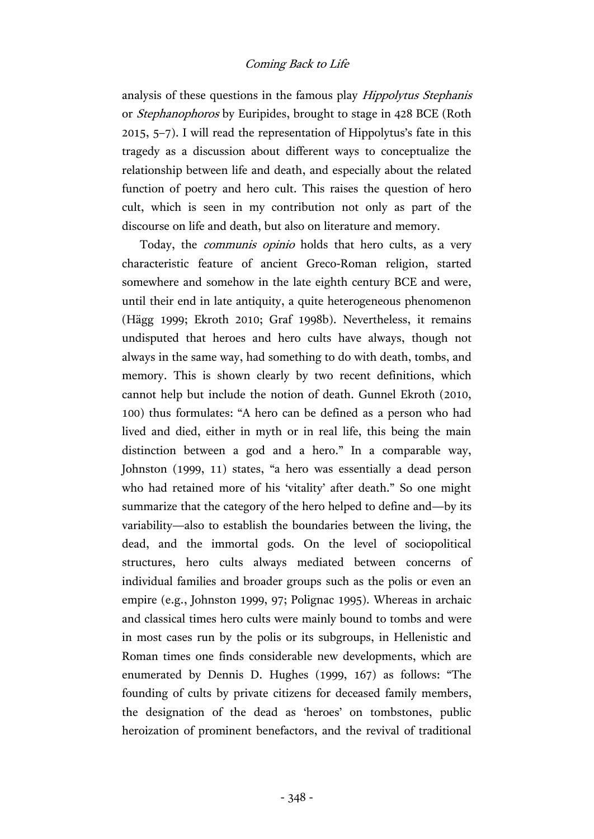analysis of these questions in the famous play Hippolytus Stephanis or Stephanophoros by Euripides, brought to stage in 428 BCE (Roth 2015, 5–7). I will read the representation of Hippolytus's fate in this tragedy as a discussion about different ways to conceptualize the relationship between life and death, and especially about the related function of poetry and hero cult. This raises the question of hero cult, which is seen in my contribution not only as part of the discourse on life and death, but also on literature and memory.

Today, the communis opinio holds that hero cults, as a very characteristic feature of ancient Greco-Roman religion, started somewhere and somehow in the late eighth century BCE and were, until their end in late antiquity, a quite heterogeneous phenomenon (Hägg 1999; Ekroth 2010; Graf 1998b). Nevertheless, it remains undisputed that heroes and hero cults have always, though not always in the same way, had something to do with death, tombs, and memory. This is shown clearly by two recent definitions, which cannot help but include the notion of death. Gunnel Ekroth (2010, 100) thus formulates: "A hero can be defined as a person who had lived and died, either in myth or in real life, this being the main distinction between a god and a hero." In a comparable way, Johnston (1999, 11) states, "a hero was essentially a dead person who had retained more of his 'vitality' after death." So one might summarize that the category of the hero helped to define and—by its variability—also to establish the boundaries between the living, the dead, and the immortal gods. On the level of sociopolitical structures, hero cults always mediated between concerns of individual families and broader groups such as the polis or even an empire (e.g., Johnston 1999, 97; Polignac 1995). Whereas in archaic and classical times hero cults were mainly bound to tombs and were in most cases run by the polis or its subgroups, in Hellenistic and Roman times one finds considerable new developments, which are enumerated by Dennis D. Hughes (1999, 167) as follows: "The founding of cults by private citizens for deceased family members, the designation of the dead as 'heroes' on tombstones, public heroization of prominent benefactors, and the revival of traditional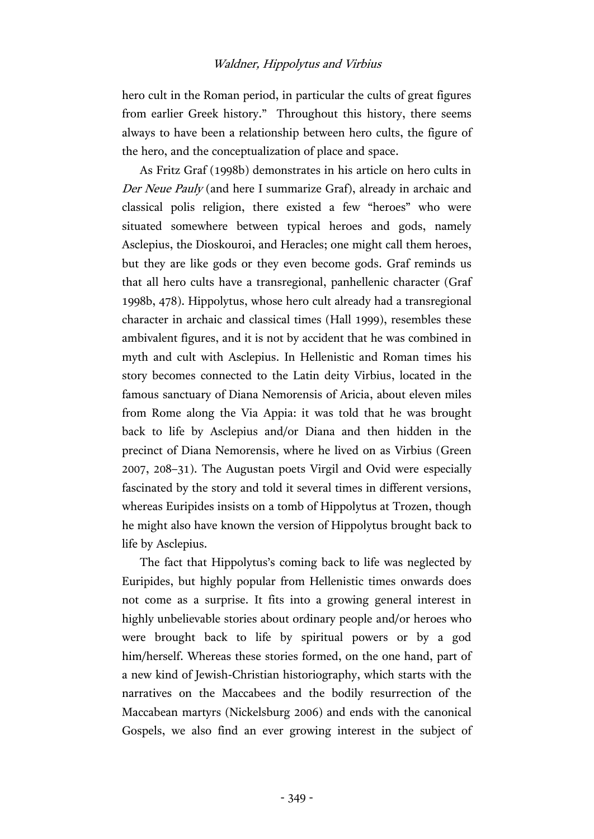hero cult in the Roman period, in particular the cults of great figures from earlier Greek history." Throughout this history, there seems always to have been a relationship between hero cults, the figure of the hero, and the conceptualization of place and space.

As Fritz Graf (1998b) demonstrates in his article on hero cults in Der Neue Pauly (and here I summarize Graf), already in archaic and classical polis religion, there existed a few "heroes" who were situated somewhere between typical heroes and gods, namely Asclepius, the Dioskouroi, and Heracles; one might call them heroes, but they are like gods or they even become gods. Graf reminds us that all hero cults have a transregional, panhellenic character (Graf 1998b, 478). Hippolytus, whose hero cult already had a transregional character in archaic and classical times (Hall 1999), resembles these ambivalent figures, and it is not by accident that he was combined in myth and cult with Asclepius. In Hellenistic and Roman times his story becomes connected to the Latin deity Virbius, located in the famous sanctuary of Diana Nemorensis of Aricia, about eleven miles from Rome along the Via Appia: it was told that he was brought back to life by Asclepius and/or Diana and then hidden in the precinct of Diana Nemorensis, where he lived on as Virbius (Green 2007, 208–31). The Augustan poets Virgil and Ovid were especially fascinated by the story and told it several times in different versions, whereas Euripides insists on a tomb of Hippolytus at Trozen, though he might also have known the version of Hippolytus brought back to life by Asclepius.

The fact that Hippolytus's coming back to life was neglected by Euripides, but highly popular from Hellenistic times onwards does not come as a surprise. It fits into a growing general interest in highly unbelievable stories about ordinary people and/or heroes who were brought back to life by spiritual powers or by a god him/herself. Whereas these stories formed, on the one hand, part of a new kind of Jewish-Christian historiography, which starts with the narratives on the Maccabees and the bodily resurrection of the Maccabean martyrs (Nickelsburg 2006) and ends with the canonical Gospels, we also find an ever growing interest in the subject of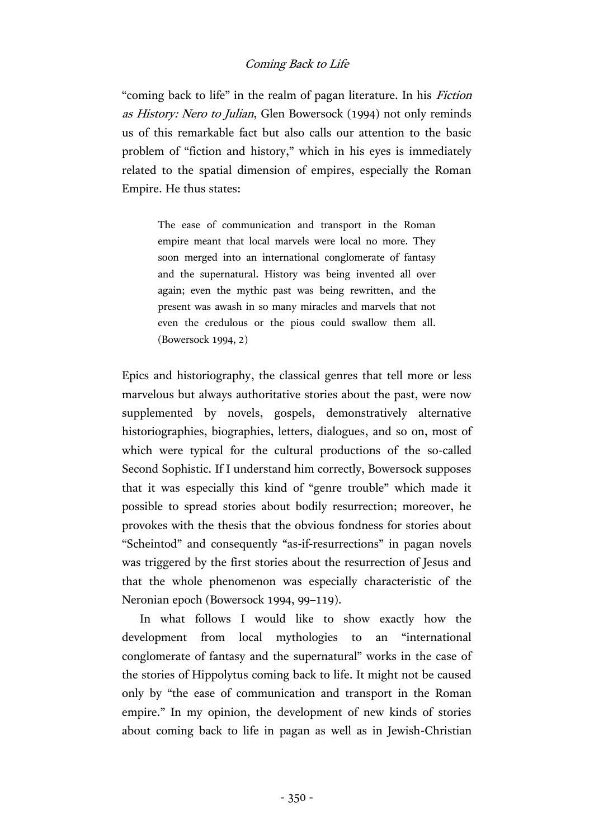"coming back to life" in the realm of pagan literature. In his Fiction as History: Nero to Julian, Glen Bowersock (1994) not only reminds us of this remarkable fact but also calls our attention to the basic problem of "fiction and history," which in his eyes is immediately related to the spatial dimension of empires, especially the Roman Empire. He thus states:

> The ease of communication and transport in the Roman empire meant that local marvels were local no more. They soon merged into an international conglomerate of fantasy and the supernatural. History was being invented all over again; even the mythic past was being rewritten, and the present was awash in so many miracles and marvels that not even the credulous or the pious could swallow them all. (Bowersock 1994, 2)

Epics and historiography, the classical genres that tell more or less marvelous but always authoritative stories about the past, were now supplemented by novels, gospels, demonstratively alternative historiographies, biographies, letters, dialogues, and so on, most of which were typical for the cultural productions of the so-called Second Sophistic. If I understand him correctly, Bowersock supposes that it was especially this kind of "genre trouble" which made it possible to spread stories about bodily resurrection; moreover, he provokes with the thesis that the obvious fondness for stories about "Scheintod" and consequently "as-if-resurrections" in pagan novels was triggered by the first stories about the resurrection of Jesus and that the whole phenomenon was especially characteristic of the Neronian epoch (Bowersock 1994, 99–119).

In what follows I would like to show exactly how the development from local mythologies to an "international conglomerate of fantasy and the supernatural" works in the case of the stories of Hippolytus coming back to life. It might not be caused only by "the ease of communication and transport in the Roman empire." In my opinion, the development of new kinds of stories about coming back to life in pagan as well as in Jewish-Christian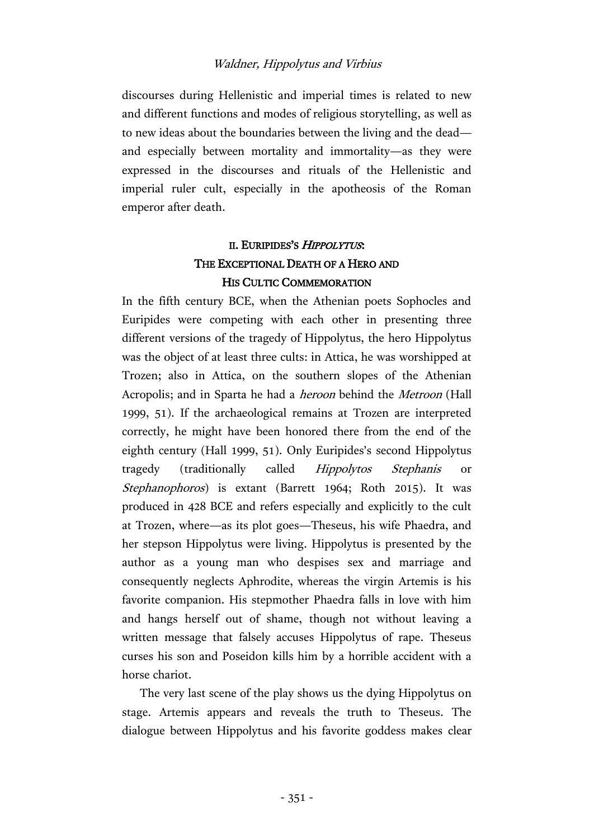discourses during Hellenistic and imperial times is related to new and different functions and modes of religious storytelling, as well as to new ideas about the boundaries between the living and the dead and especially between mortality and immortality—as they were expressed in the discourses and rituals of the Hellenistic and imperial ruler cult, especially in the apotheosis of the Roman emperor after death.

# II. EURIPIDES'S HIPPOLYTUS: THE EXCEPTIONAL DEATH OF A HERO AND HIS CULTIC COMMEMORATION

In the fifth century BCE, when the Athenian poets Sophocles and Euripides were competing with each other in presenting three different versions of the tragedy of Hippolytus, the hero Hippolytus was the object of at least three cults: in Attica, he was worshipped at Trozen; also in Attica, on the southern slopes of the Athenian Acropolis; and in Sparta he had a heroon behind the Metroon (Hall 1999, 51). If the archaeological remains at Trozen are interpreted correctly, he might have been honored there from the end of the eighth century (Hall 1999, 51). Only Euripides's second Hippolytus tragedy (traditionally called Hippolytos Stephanis or Stephanophoros) is extant (Barrett 1964; Roth 2015). It was produced in 428 BCE and refers especially and explicitly to the cult at Trozen, where—as its plot goes—Theseus, his wife Phaedra, and her stepson Hippolytus were living. Hippolytus is presented by the author as a young man who despises sex and marriage and consequently neglects Aphrodite, whereas the virgin Artemis is his favorite companion. His stepmother Phaedra falls in love with him and hangs herself out of shame, though not without leaving a written message that falsely accuses Hippolytus of rape. Theseus curses his son and Poseidon kills him by a horrible accident with a horse chariot.

The very last scene of the play shows us the dying Hippolytus on stage. Artemis appears and reveals the truth to Theseus. The dialogue between Hippolytus and his favorite goddess makes clear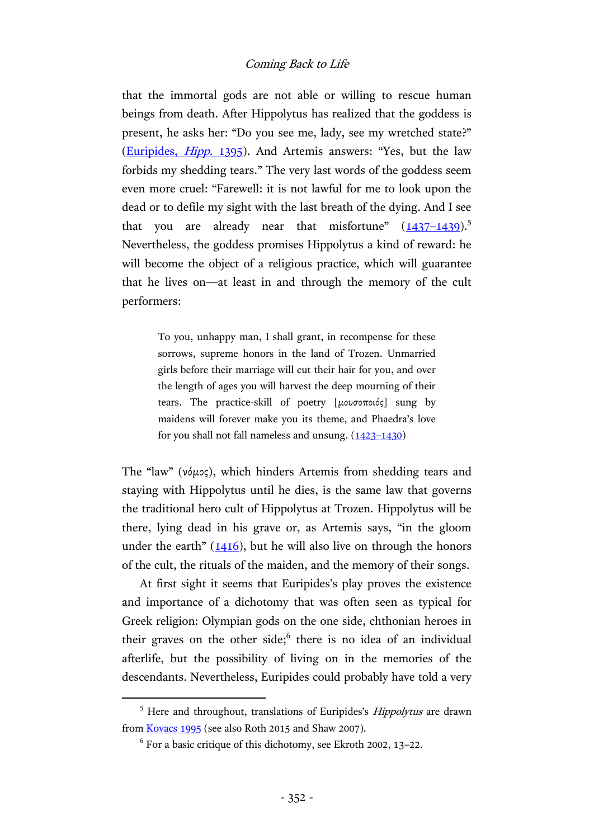that the immortal gods are not able or willing to rescue human beings from death. After Hippolytus has realized that the goddess is present, he asks her: "Do you see me, lady, see my wretched state?" [\(Euripides,](http://data.perseus.org/citations/urn:cts:greekLit:tlg0006.tlg005.perseus-grc1:1389-1430) Hipp. 1395). And Artemis answers: "Yes, but the law forbids my shedding tears." The very last words of the goddess seem even more cruel: "Farewell: it is not lawful for me to look upon the dead or to defile my sight with the last breath of the dying. And I see that you are already near that misfortune"  $(1437-1439).$  $(1437-1439).$  $(1437-1439).$ <sup>5</sup> Nevertheless, the goddess promises Hippolytus a kind of reward: he will become the object of a religious practice, which will guarantee that he lives on—at least in and through the memory of the cult performers:

> To you, unhappy man, I shall grant, in recompense for these sorrows, supreme honors in the land of Trozen. Unmarried girls before their marriage will cut their hair for you, and over the length of ages you will harvest the deep mourning of their tears. The practice-skill of poetry [μουσοποιός] sung by maidens will forever make you its theme, and Phaedra's love for you shall not fall nameless and unsung.  $(1423-1430)$  $(1423-1430)$

The "law" (νόμος), which hinders Artemis from shedding tears and staying with Hippolytus until he dies, is the same law that governs the traditional hero cult of Hippolytus at Trozen. Hippolytus will be there, lying dead in his grave or, as Artemis says, "in the gloom under the earth"  $(1416)$  $(1416)$ , but he will also live on through the honors of the cult, the rituals of the maiden, and the memory of their songs.

At first sight it seems that Euripides's play proves the existence and importance of a dichotomy that was often seen as typical for Greek religion: Olympian gods on the one side, chthonian heroes in their graves on the other side;<sup>6</sup> there is no idea of an individual afterlife, but the possibility of living on in the memories of the descendants. Nevertheless, Euripides could probably have told a very

<sup>&</sup>lt;sup>5</sup> Here and throughout, translations of Euripides's *Hippolytus* are drawn fro[m Kovacs 1995](http://data.perseus.org/texts/urn:cts:greekLit:tlg0006.tlg005) (see also Roth 2015 and Shaw 2007).

 $^6$  For a basic critique of this dichotomy, see Ekroth 2002, 13-22.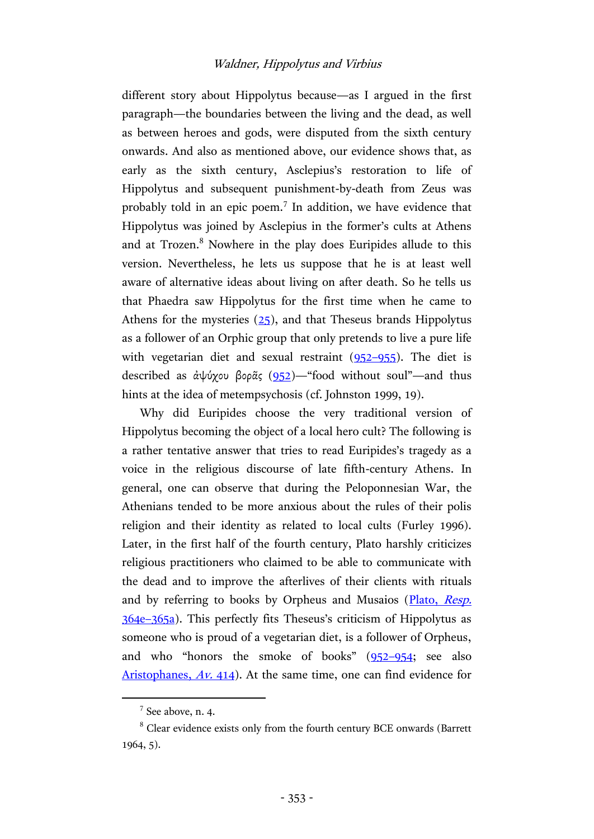different story about Hippolytus because—as I argued in the first paragraph—the boundaries between the living and the dead, as well as between heroes and gods, were disputed from the sixth century onwards. And also as mentioned above, our evidence shows that, as early as the sixth century, Asclepius's restoration to life of Hippolytus and subsequent punishment-by-death from Zeus was probably told in an epic poem.<sup>7</sup> In addition, we have evidence that Hippolytus was joined by Asclepius in the former's cults at Athens and at Trozen.<sup>8</sup> Nowhere in the play does Euripides allude to this version. Nevertheless, he lets us suppose that he is at least well aware of alternative ideas about living on after death. So he tells us that Phaedra saw Hippolytus for the first time when he came to Athens for the mysteries  $(25)$ , and that Theseus brands Hippolytus as a follower of an Orphic group that only pretends to live a pure life with vegetarian diet and sexual restraint [\(952](http://data.perseus.org/citations/urn:cts:greekLit:tlg0006.tlg005.perseus-grc1:936-982)–955). The diet is described as ἀψύχου βορᾶς [\(952\)](http://data.perseus.org/citations/urn:cts:greekLit:tlg0006.tlg005.perseus-grc1:936-982)—"food without soul"—and thus hints at the idea of metempsychosis (cf. Johnston 1999, 19).

Why did Euripides choose the very traditional version of Hippolytus becoming the object of a local hero cult? The following is a rather tentative answer that tries to read Euripides's tragedy as a voice in the religious discourse of late fifth-century Athens. In general, one can observe that during the Peloponnesian War, the Athenians tended to be more anxious about the rules of their polis religion and their identity as related to local cults (Furley 1996). Later, in the first half of the fourth century, Plato harshly criticizes religious practitioners who claimed to be able to communicate with the dead and to improve the afterlives of their clients with rituals and by referring to books by Orpheus and Musaios [\(Plato,](https://archive.org/stream/republicshorey01platuoft#page/134/mode/2up) Resp. 364e–[365a\)](https://archive.org/stream/republicshorey01platuoft#page/134/mode/2up). This perfectly fits Theseus's criticism of Hippolytus as someone who is proud of a vegetarian diet, is a follower of Orpheus, and who "honors the smoke of books" (952–[954;](http://data.perseus.org/citations/urn:cts:greekLit:tlg0006.tlg005.perseus-grc1:936-982) see also [Aristophanes,](http://data.perseus.org/citations/urn:cts:greekLit:tlg0019.tlg006.perseus-grc1:407-434) Av. 414). At the same time, one can find evidence for

 $7$  See above, n. 4.

<sup>&</sup>lt;sup>8</sup> Clear evidence exists only from the fourth century BCE onwards (Barrett 1964, 5).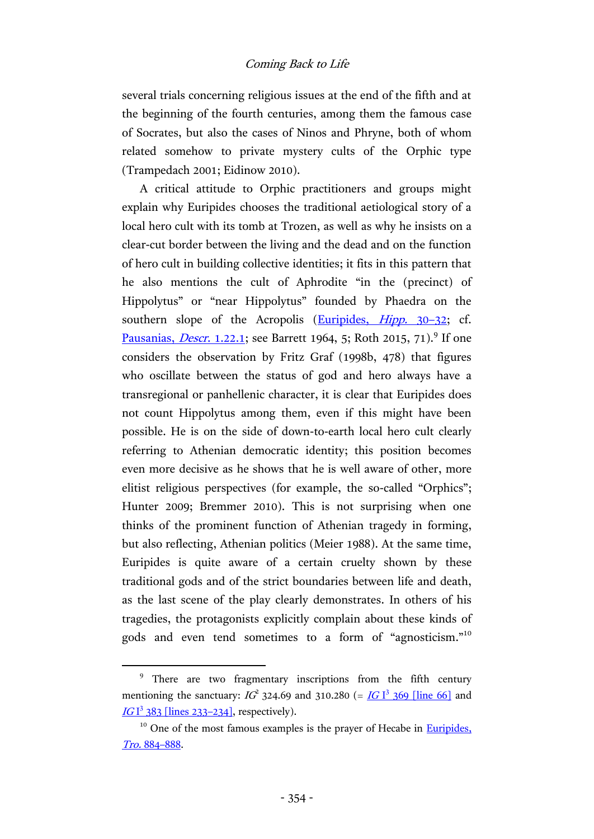several trials concerning religious issues at the end of the fifth and at the beginning of the fourth centuries, among them the famous case of Socrates, but also the cases of Ninos and Phryne, both of whom related somehow to private mystery cults of the Orphic type (Trampedach 2001; Eidinow 2010).

A critical attitude to Orphic practitioners and groups might explain why Euripides chooses the traditional aetiological story of a local hero cult with its tomb at Trozen, as well as why he insists on a clear-cut border between the living and the dead and on the function of hero cult in building collective identities; it fits in this pattern that he also mentions the cult of Aphrodite "in the (precinct) of Hippolytus" or "near Hippolytus" founded by Phaedra on the southern slope of the Acropolis [\(Euripides,](http://data.perseus.org/citations/urn:cts:greekLit:tlg0006.tlg005.perseus-grc1:1-33) *Hipp.* 30–32; cf. [Pausanias,](http://hdl.handle.net/2027/uc1.c072987702?urlappend=%3Bseq=140) *Descr*. 1.22.1; see Barrett 1964, 5; Roth 2015, 71).<sup>9</sup> If one considers the observation by Fritz Graf (1998b, 478) that figures who oscillate between the status of god and hero always have a transregional or panhellenic character, it is clear that Euripides does not count Hippolytus among them, even if this might have been possible. He is on the side of down-to-earth local hero cult clearly referring to Athenian democratic identity; this position becomes even more decisive as he shows that he is well aware of other, more elitist religious perspectives (for example, the so-called "Orphics"; Hunter 2009; Bremmer 2010). This is not surprising when one thinks of the prominent function of Athenian tragedy in forming, but also reflecting, Athenian politics (Meier 1988). At the same time, Euripides is quite aware of a certain cruelty shown by these traditional gods and of the strict boundaries between life and death, as the last scene of the play clearly demonstrates. In others of his tragedies, the protagonists explicitly complain about these kinds of gods and even tend sometimes to a form of "agnosticism."<sup>10</sup>

<sup>&</sup>lt;sup>9</sup> There are two fragmentary inscriptions from the fifth century mentioning the sanctuary:  $IG^2$  324.69 and 310.280 (=  $IGI^3$  [369 \[line 66\]](http://inscriptions.packhum.org/text/381) and IG <sup>1</sup> [383 \[lines 233](http://inscriptions.packhum.org/text/395)-234], respectively).

 $10$  One of the most famous examples is the prayer of Hecabe in Euripides, Tro. 884–[888.](https://archive.org/stream/euripidesway02euriuoft#page/426/mode/2up)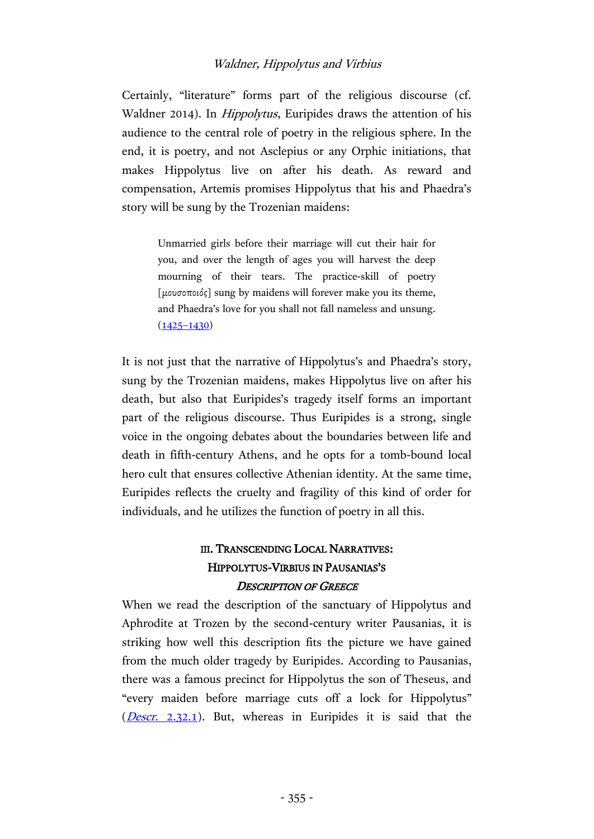Certainly, "literature" forms part of the religious discourse (cf. Waldner 2014). In Hippolytus, Euripides draws the attention of his audience to the central role of poetry in the religious sphere. In the end, it is poetry, and not Asclepius or any Orphic initiations, that makes Hippolytus live on after his death. As reward and compensation, Artemis promises Hippolytus that his and Phaedra's story will be sung by the Trozenian maidens:

> Unmarried girls before their marriage will cut their hair for you, and over the length of ages you will harvest the deep mourning of their tears. The practice-skill of poetry [μουσοποιός] sung by maidens will forever make you its theme, and Phaedra's love for you shall not fall nameless and unsung.  $(1425 - 1430)$  $(1425 - 1430)$

It is not just that the narrative of Hippolytus's and Phaedra's story, sung by the Trozenian maidens, makes Hippolytus live on after his death, but also that Euripides's tragedy itself forms an important part of the religious discourse. Thus Euripides is a strong, single voice in the ongoing debates about the boundaries between life and death in fifth-century Athens, and he opts for a tomb-bound local hero cult that ensures collective Athenian identity. At the same time, Euripides reflects the cruelty and fragility of this kind of order for individuals, and he utilizes the function of poetry in all this.

# III. TRANSCENDING LOCAL NARRATIVES: HIPPOLYTUS-VIRBIUS IN PAUSANIAS'S <sup>D</sup>ESCRIPTION OF GREECE

When we read the description of the sanctuary of Hippolytus and Aphrodite at Trozen by the second-century writer Pausanias, it is striking how well this description fits the picture we have gained from the much older tragedy by Euripides. According to Pausanias, there was a famous precinct for Hippolytus the son of Theseus, and "every maiden before marriage cuts off a lock for Hippolytus"  $(Descr. 2.32.1)$  $(Descr. 2.32.1)$ . But, whereas in Euripides it is said that the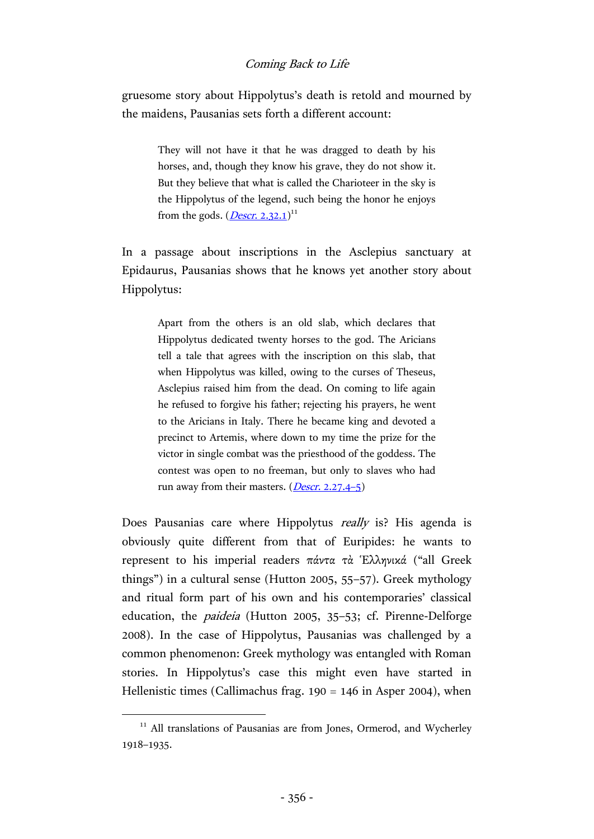gruesome story about Hippolytus's death is retold and mourned by the maidens, Pausanias sets forth a different account:

> They will not have it that he was dragged to death by his horses, and, though they know his grave, they do not show it. But they believe that what is called the Charioteer in the sky is the Hippolytus of the legend, such being the honor he enjoys from the gods. (*<u>Descr. 2.32.1</u>*)<sup>11</sup>

In a passage about inscriptions in the Asclepius sanctuary at Epidaurus, Pausanias shows that he knows yet another story about Hippolytus:

> Apart from the others is an old slab, which declares that Hippolytus dedicated twenty horses to the god. The Aricians tell a tale that agrees with the inscription on this slab, that when Hippolytus was killed, owing to the curses of Theseus, Asclepius raised him from the dead. On coming to life again he refused to forgive his father; rejecting his prayers, he went to the Aricians in Italy. There he became king and devoted a precinct to Artemis, where down to my time the prize for the victor in single combat was the priesthood of the goddess. The contest was open to no freeman, but only to slaves who had run away from their masters. (*Descr.* 2.27.4-5)

Does Pausanias care where Hippolytus *really* is? His agenda is obviously quite different from that of Euripides: he wants to represent to his imperial readers πάντα τὰ Ἑλληνικά ("all Greek things") in a cultural sense (Hutton 2005, 55–57). Greek mythology and ritual form part of his own and his contemporaries' classical education, the paideia (Hutton 2005, 35–53; cf. Pirenne-Delforge 2008). In the case of Hippolytus, Pausanias was challenged by a common phenomenon: Greek mythology was entangled with Roman stories. In Hippolytus's case this might even have started in Hellenistic times (Callimachus frag. 190 = 146 in Asper 2004), when

<sup>&</sup>lt;sup>11</sup> All translations of Pausanias are from Jones, Ormerod, and Wycherley 1918–1935.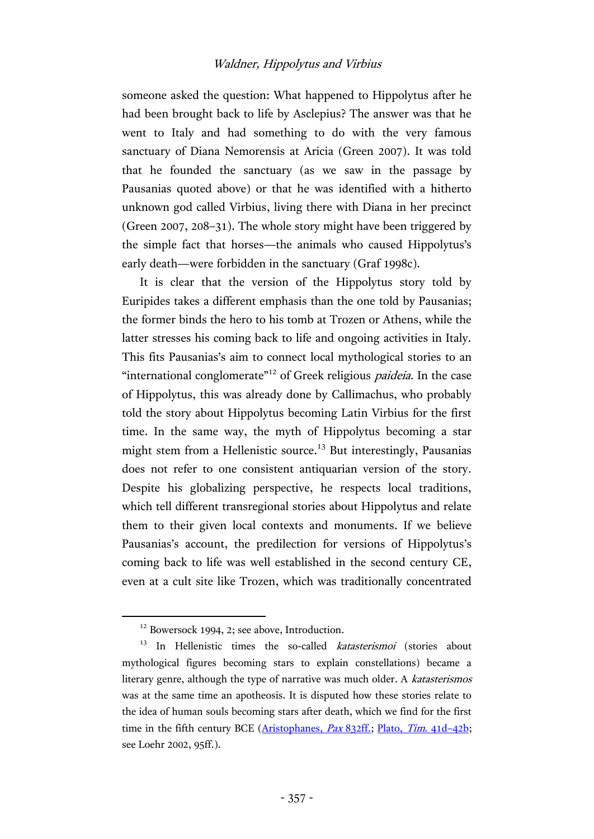someone asked the question: What happened to Hippolytus after he had been brought back to life by Asclepius? The answer was that he went to Italy and had something to do with the very famous sanctuary of Diana Nemorensis at Aricia (Green 2007). It was told that he founded the sanctuary (as we saw in the passage by Pausanias quoted above) or that he was identified with a hitherto unknown god called Virbius, living there with Diana in her precinct (Green 2007, 208–31). The whole story might have been triggered by the simple fact that horses—the animals who caused Hippolytus's early death—were forbidden in the sanctuary (Graf 1998c).

It is clear that the version of the Hippolytus story told by Euripides takes a different emphasis than the one told by Pausanias; the former binds the hero to his tomb at Trozen or Athens, while the latter stresses his coming back to life and ongoing activities in Italy. This fits Pausanias's aim to connect local mythological stories to an "international conglomerate"<sup>12</sup> of Greek religious *paideia*. In the case of Hippolytus, this was already done by Callimachus, who probably told the story about Hippolytus becoming Latin Virbius for the first time. In the same way, the myth of Hippolytus becoming a star might stem from a Hellenistic source.<sup>13</sup> But interestingly, Pausanias does not refer to one consistent antiquarian version of the story. Despite his globalizing perspective, he respects local traditions, which tell different transregional stories about Hippolytus and relate them to their given local contexts and monuments. If we believe Pausanias's account, the predilection for versions of Hippolytus's coming back to life was well established in the second century CE, even at a cult site like Trozen, which was traditionally concentrated

<sup>&</sup>lt;sup>12</sup> Bowersock 1994, 2; see above, Introduction.

<sup>&</sup>lt;sup>13</sup> In Hellenistic times the so-called *katasterismoi* (stories about mythological figures becoming stars to explain constellations) became a literary genre, although the type of narrative was much older. A katasterismos was at the same time an apotheosis. It is disputed how these stories relate to the idea of human souls becoming stars after death, which we find for the first time in the fifth century BCE [\(Aristophanes,](http://data.perseus.org/citations/urn:cts:greekLit:tlg0019.tlg005.perseus-grc1:819-855) Pax 832ff.; [Plato,](http://data.perseus.org/citations/urn:cts:greekLit:tlg0059.tlg031.perseus-grc1:41d) Tim. 41d-42b; see Loehr 2002, 95ff.).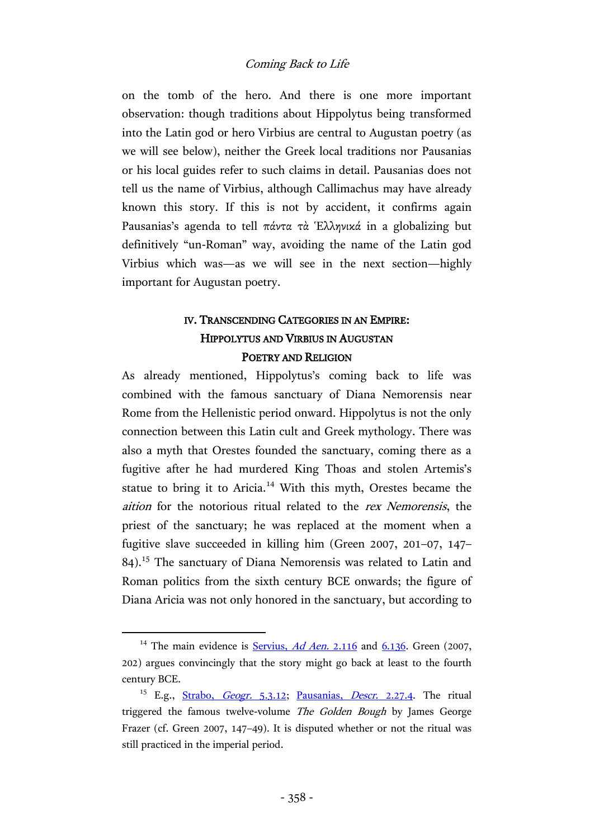on the tomb of the hero. And there is one more important observation: though traditions about Hippolytus being transformed into the Latin god or hero Virbius are central to Augustan poetry (as we will see below), neither the Greek local traditions nor Pausanias or his local guides refer to such claims in detail. Pausanias does not tell us the name of Virbius, although Callimachus may have already known this story. If this is not by accident, it confirms again Pausanias's agenda to tell πάντα τὰ Ἑλληνικά in a globalizing but definitively "un-Roman" way, avoiding the name of the Latin god Virbius which was—as we will see in the next section—highly important for Augustan poetry.

# IV. TRANSCENDING CATEGORIES IN AN EMPIRE: HIPPOLYTUS AND VIRBIUS IN AUGUSTAN POETRY AND RELIGION

As already mentioned, Hippolytus's coming back to life was combined with the famous sanctuary of Diana Nemorensis near Rome from the Hellenistic period onward. Hippolytus is not the only connection between this Latin cult and Greek mythology. There was also a myth that Orestes founded the sanctuary, coming there as a fugitive after he had murdered King Thoas and stolen Artemis's statue to bring it to Aricia.<sup>14</sup> With this myth, Orestes became the aition for the notorious ritual related to the rex Nemorensis, the priest of the sanctuary; he was replaced at the moment when a fugitive slave succeeded in killing him (Green 2007, 201–07, 147– 84).<sup>15</sup> The sanctuary of Diana Nemorensis was related to Latin and Roman politics from the sixth century BCE onwards; the figure of Diana Aricia was not only honored in the sanctuary, but according to

l

<sup>&</sup>lt;sup>14</sup> The main evidence is **Servius**, *Ad Aen.* 2.116 and  $6.136$ . Green (2007, 202) argues convincingly that the story might go back at least to the fourth century BCE.

<sup>&</sup>lt;sup>15</sup> E.g., [Strabo,](http://data.perseus.org/citations/urn:cts:greekLit:tlg0099.tlg001.perseus-grc1:5.3.12) *Geogr.* 5.3.12; [Pausanias,](http://hdl.handle.net/2027/uc1.c072987702?urlappend=%3Bseq=426) *Descr.* 2.27.4. The ritual triggered the famous twelve-volume The Golden Bough by James George Frazer (cf. Green 2007, 147–49). It is disputed whether or not the ritual was still practiced in the imperial period.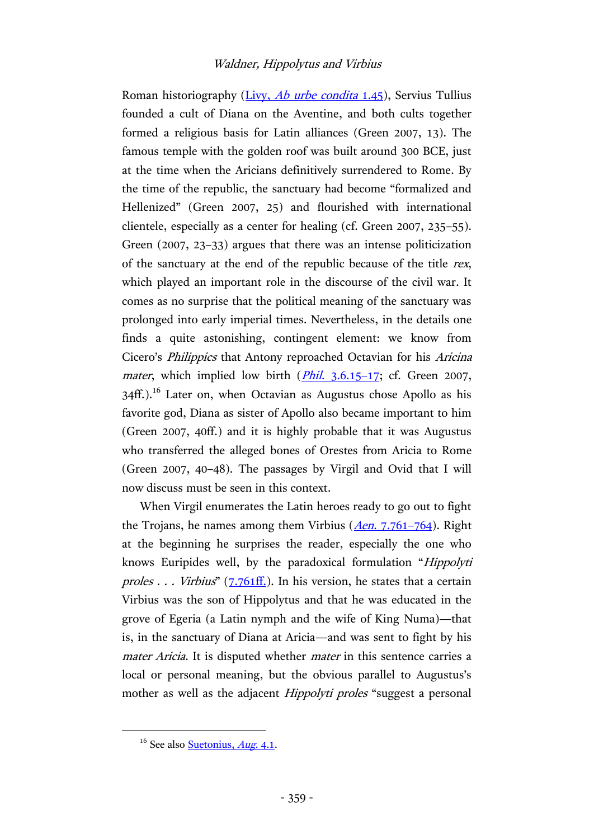Roman historiography (Livy, *[Ab urbe condita](https://archive.org/stream/livywithenglisht01livyuoft#page/156/mode/2up)* 1.45), Servius Tullius founded a cult of Diana on the Aventine, and both cults together formed a religious basis for Latin alliances (Green 2007, 13). The famous temple with the golden roof was built around 300 BCE, just at the time when the Aricians definitively surrendered to Rome. By the time of the republic, the sanctuary had become "formalized and Hellenized" (Green 2007, 25) and flourished with international clientele, especially as a center for healing (cf. Green 2007, 235–55). Green (2007, 23–33) argues that there was an intense politicization of the sanctuary at the end of the republic because of the title rex, which played an important role in the discourse of the civil war. It comes as no surprise that the political meaning of the sanctuary was prolonged into early imperial times. Nevertheless, in the details one finds a quite astonishing, contingent element: we know from Cicero's Philippics that Antony reproached Octavian for his Aricina *mater*, which implied low birth  $(Phi1, 3.6.15-17)$ ; cf. Green 2007,  $34\text{ff}$ .).<sup>16</sup> Later on, when Octavian as Augustus chose Apollo as his favorite god, Diana as sister of Apollo also became important to him (Green 2007, 40ff.) and it is highly probable that it was Augustus who transferred the alleged bones of Orestes from Aricia to Rome (Green 2007, 40–48). The passages by Virgil and Ovid that I will now discuss must be seen in this context.

When Virgil enumerates the Latin heroes ready to go out to fight the Trojans, he names among them Virbius (Aen[. 7.761](https://archive.org/stream/virgilaeneid02virguoft#page/54/mode/2up)–764). Right at the beginning he surprises the reader, especially the one who knows Euripides well, by the paradoxical formulation "Hippolyti proles  $\ldots$  Virbius" ([7.761ff.\)](https://archive.org/stream/virgilaeneid02virguoft#page/54/mode/2up). In his version, he states that a certain Virbius was the son of Hippolytus and that he was educated in the grove of Egeria (a Latin nymph and the wife of King Numa)—that is, in the sanctuary of Diana at Aricia—and was sent to fight by his mater Aricia. It is disputed whether *mater* in this sentence carries a local or personal meaning, but the obvious parallel to Augustus's mother as well as the adjacent *Hippolyti proles* "suggest a personal

 $16$  See also [Suetonius,](http://hdl.handle.net/2027/uc1.32106005388886?urlappend=%3Bseq=164) *Aug.* 4.1.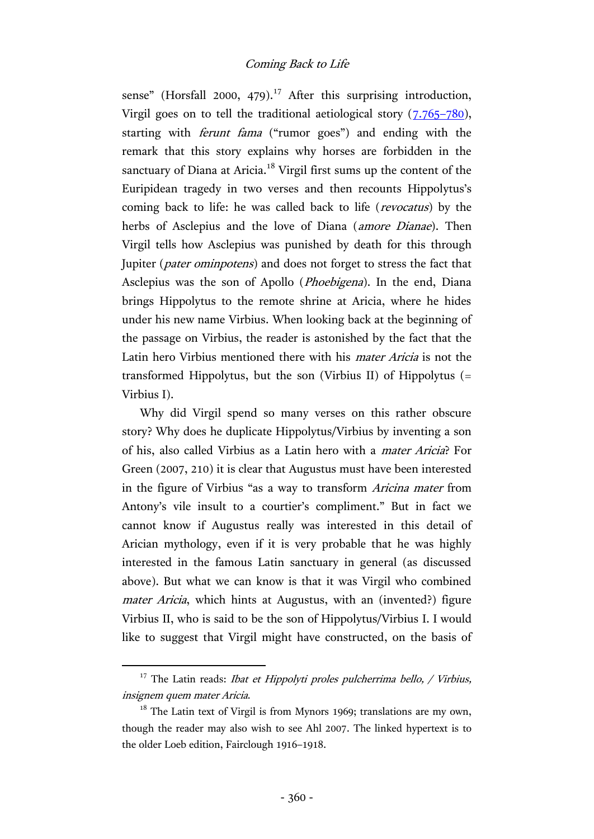sense" (Horsfall 2000, 479).<sup>17</sup> After this surprising introduction, Virgil goes on to tell the traditional aetiological story  $(7.765-780)$  $(7.765-780)$ , starting with ferunt fama ("rumor goes") and ending with the remark that this story explains why horses are forbidden in the sanctuary of Diana at Aricia. $18$  Virgil first sums up the content of the Euripidean tragedy in two verses and then recounts Hippolytus's coming back to life: he was called back to life (revocatus) by the herbs of Asclepius and the love of Diana (*amore Dianae*). Then Virgil tells how Asclepius was punished by death for this through Jupiter (pater ominpotens) and does not forget to stress the fact that Asclepius was the son of Apollo (Phoebigena). In the end, Diana brings Hippolytus to the remote shrine at Aricia, where he hides under his new name Virbius. When looking back at the beginning of the passage on Virbius, the reader is astonished by the fact that the Latin hero Virbius mentioned there with his mater Aricia is not the transformed Hippolytus, but the son (Virbius II) of Hippolytus (= Virbius I).

Why did Virgil spend so many verses on this rather obscure story? Why does he duplicate Hippolytus/Virbius by inventing a son of his, also called Virbius as a Latin hero with a mater Aricia? For Green (2007, 210) it is clear that Augustus must have been interested in the figure of Virbius "as a way to transform Aricina mater from Antony's vile insult to a courtier's compliment." But in fact we cannot know if Augustus really was interested in this detail of Arician mythology, even if it is very probable that he was highly interested in the famous Latin sanctuary in general (as discussed above). But what we can know is that it was Virgil who combined mater Aricia, which hints at Augustus, with an (invented?) figure Virbius II, who is said to be the son of Hippolytus/Virbius I. I would like to suggest that Virgil might have constructed, on the basis of

<sup>&</sup>lt;sup>17</sup> The Latin reads: *Ibat et Hippolyti proles pulcherrima bello, / Virbius,* insignem quem mater Aricia.

 $18$  The Latin text of Virgil is from Mynors 1969; translations are my own, though the reader may also wish to see Ahl 2007. The linked hypertext is to the older Loeb edition, Fairclough 1916–1918.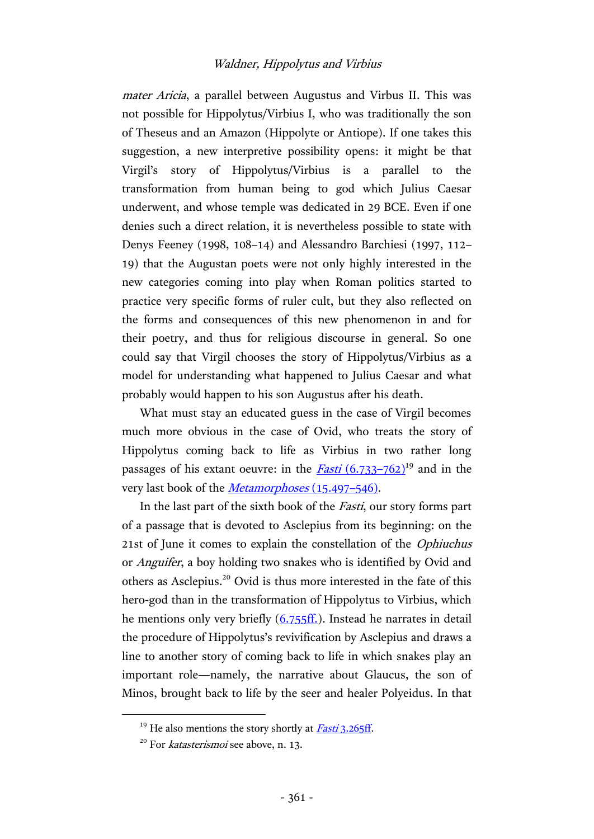mater Aricia, a parallel between Augustus and Virbus II. This was not possible for Hippolytus/Virbius I, who was traditionally the son of Theseus and an Amazon (Hippolyte or Antiope). If one takes this suggestion, a new interpretive possibility opens: it might be that Virgil's story of Hippolytus/Virbius is a parallel to the transformation from human being to god which Julius Caesar underwent, and whose temple was dedicated in 29 BCE. Even if one denies such a direct relation, it is nevertheless possible to state with Denys Feeney (1998, 108–14) and Alessandro Barchiesi (1997, 112– 19) that the Augustan poets were not only highly interested in the new categories coming into play when Roman politics started to practice very specific forms of ruler cult, but they also reflected on the forms and consequences of this new phenomenon in and for their poetry, and thus for religious discourse in general. So one could say that Virgil chooses the story of Hippolytus/Virbius as a model for understanding what happened to Julius Caesar and what probably would happen to his son Augustus after his death.

What must stay an educated guess in the case of Virgil becomes much more obvious in the case of Ovid, who treats the story of Hippolytus coming back to life as Virbius in two rather long passages of his extant oeuvre: in the  $Fasti (6.733–762)<sup>19</sup>$  $Fasti (6.733–762)<sup>19</sup>$  $Fasti (6.733–762)<sup>19</sup>$  and in the</u> very last book of the *[Metamorphoses](http://hdl.handle.net/2027/mdp.39015005497766?urlappend=%3Bseq=412)* (15.497–546).

In the last part of the sixth book of the Fasti, our story forms part of a passage that is devoted to Asclepius from its beginning: on the 21st of June it comes to explain the constellation of the Ophiuchus or Anguifer, a boy holding two snakes who is identified by Ovid and others as Asclepius. <sup>20</sup> Ovid is thus more interested in the fate of this hero-god than in the transformation of Hippolytus to Virbius, which he mentions only very briefly [\(6.755ff.\)](https://archive.org/stream/ovidsfasti00oviduoft#page/378/mode/2up). Instead he narrates in detail the procedure of Hippolytus's revivification by Asclepius and draws a line to another story of coming back to life in which snakes play an important role—namely, the narrative about Glaucus, the son of Minos, brought back to life by the seer and healer Polyeidus. In that

<sup>&</sup>lt;sup>19</sup> He also mentions the story shortly at *Fasti* [3.265ff](https://archive.org/stream/ovidsfasti00oviduoft#page/138/mode/2up).

 $20$  For *katasterismoi* see above, n. 13.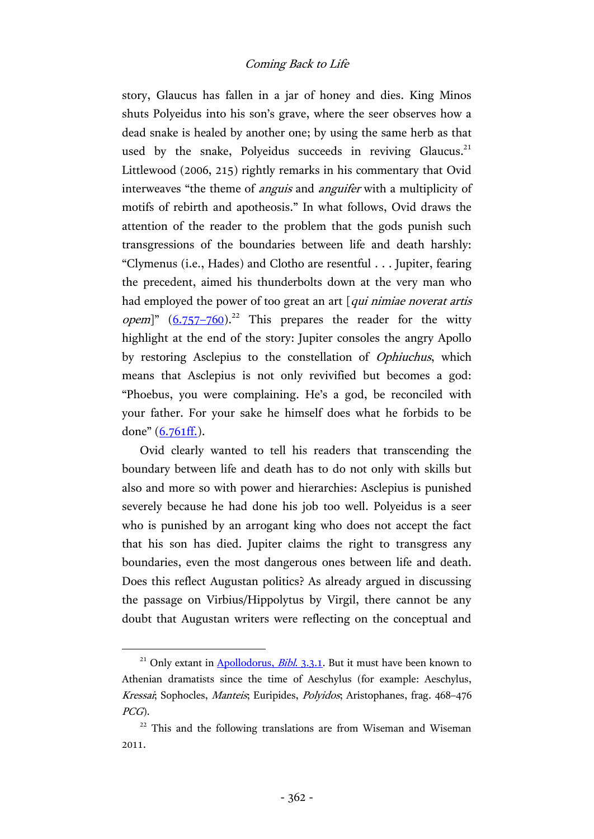story, Glaucus has fallen in a jar of honey and dies. King Minos shuts Polyeidus into his son's grave, where the seer observes how a dead snake is healed by another one; by using the same herb as that used by the snake, Polyeidus succeeds in reviving Glaucus.<sup>21</sup> Littlewood (2006, 215) rightly remarks in his commentary that Ovid interweaves "the theme of *anguis* and *anguifer* with a multiplicity of motifs of rebirth and apotheosis." In what follows, Ovid draws the attention of the reader to the problem that the gods punish such transgressions of the boundaries between life and death harshly: "Clymenus (i.e., Hades) and Clotho are resentful . . . Jupiter, fearing the precedent, aimed his thunderbolts down at the very man who had employed the power of too great an art  $\int$ *qui nimiae noverat artis opem*]"  $(6.757-760)^{22}$  $(6.757-760)^{22}$  $(6.757-760)^{22}$  This prepares the reader for the witty highlight at the end of the story: Jupiter consoles the angry Apollo by restoring Asclepius to the constellation of Ophiuchus, which means that Asclepius is not only revivified but becomes a god: "Phoebus, you were complaining. He's a god, be reconciled with your father. For your sake he himself does what he forbids to be done" ([6.761ff.\)](https://archive.org/stream/ovidsfasti00oviduoft#page/378/mode/2up).

Ovid clearly wanted to tell his readers that transcending the boundary between life and death has to do not only with skills but also and more so with power and hierarchies: Asclepius is punished severely because he had done his job too well. Polyeidus is a seer who is punished by an arrogant king who does not accept the fact that his son has died. Jupiter claims the right to transgress any boundaries, even the most dangerous ones between life and death. Does this reflect Augustan politics? As already argued in discussing the passage on Virbius/Hippolytus by Virgil, there cannot be any doubt that Augustan writers were reflecting on the conceptual and

<sup>&</sup>lt;sup>21</sup> Only extant in  $\Delta$ pollodorus, *Bibl.* 3.3.1. But it must have been known to Athenian dramatists since the time of Aeschylus (for example: Aeschylus, Kressai; Sophocles, Manteis; Euripides, Polyidos; Aristophanes, frag. 468–476 PCG).

<sup>&</sup>lt;sup>22</sup> This and the following translations are from Wiseman and Wiseman 2011.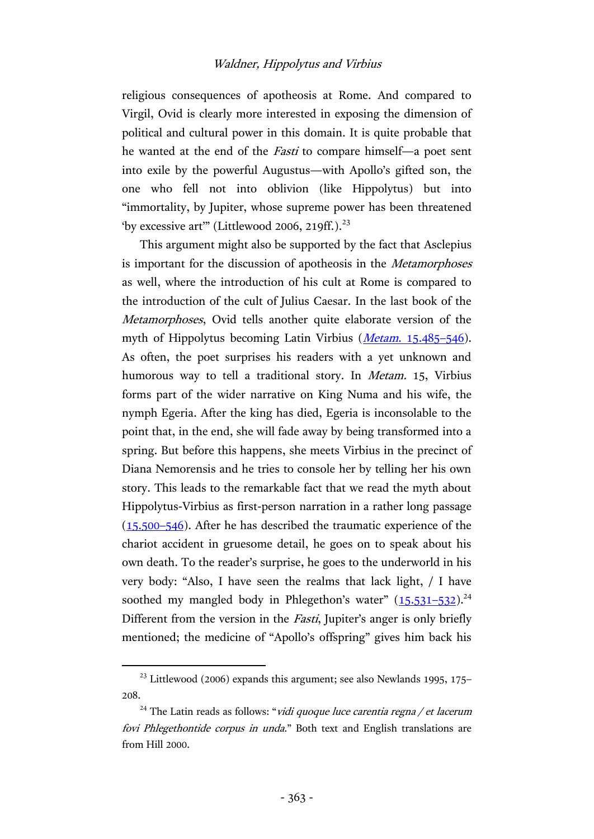religious consequences of apotheosis at Rome. And compared to Virgil, Ovid is clearly more interested in exposing the dimension of political and cultural power in this domain. It is quite probable that he wanted at the end of the *Fasti* to compare himself—a poet sent into exile by the powerful Augustus—with Apollo's gifted son, the one who fell not into oblivion (like Hippolytus) but into "immortality, by Jupiter, whose supreme power has been threatened 'by excessive art'" (Littlewood 2006, 219ff.). $^{23}$ 

This argument might also be supported by the fact that Asclepius is important for the discussion of apotheosis in the Metamorphoses as well, where the introduction of his cult at Rome is compared to the introduction of the cult of Julius Caesar. In the last book of the Metamorphoses, Ovid tells another quite elaborate version of the myth of Hippolytus becoming Latin Virbius (*Metam.* 15.485–546). As often, the poet surprises his readers with a yet unknown and humorous way to tell a traditional story. In Metam. 15, Virbius forms part of the wider narrative on King Numa and his wife, the nymph Egeria. After the king has died, Egeria is inconsolable to the point that, in the end, she will fade away by being transformed into a spring. But before this happens, she meets Virbius in the precinct of Diana Nemorensis and he tries to console her by telling her his own story. This leads to the remarkable fact that we read the myth about Hippolytus-Virbius as first-person narration in a rather long passage [\(15.500](http://hdl.handle.net/2027/mdp.39015005497766?urlappend=%3Bseq=412)–546). After he has described the traumatic experience of the chariot accident in gruesome detail, he goes on to speak about his own death. To the reader's surprise, he goes to the underworld in his very body: "Also, I have seen the realms that lack light, / I have soothed my mangled body in Phlegethon's water"  $(15.531-532)^{24}$  $(15.531-532)^{24}$  $(15.531-532)^{24}$ Different from the version in the *Fasti*, Jupiter's anger is only briefly mentioned; the medicine of "Apollo's offspring" gives him back his

<sup>&</sup>lt;sup>23</sup> Littlewood (2006) expands this argument; see also Newlands 1995, 175– 208.

<sup>&</sup>lt;sup>24</sup> The Latin reads as follows: "*vidi quoque luce carentia regna / et lacerum* fovi Phlegethontide corpus in unda." Both text and English translations are from Hill 2000.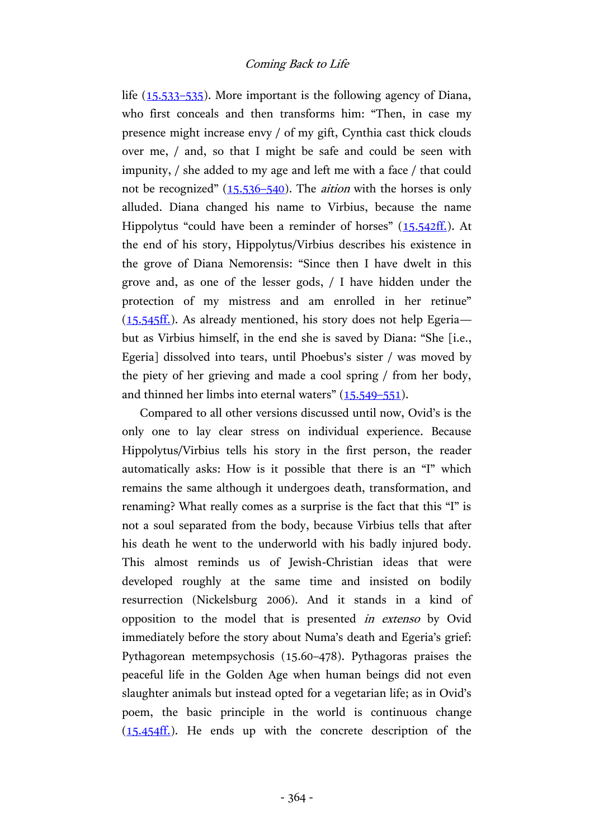life [\(15.533](http://hdl.handle.net/2027/mdp.39015005497766?urlappend=%3Bseq=414)–535). More important is the following agency of Diana, who first conceals and then transforms him: "Then, in case my presence might increase envy / of my gift, Cynthia cast thick clouds over me, / and, so that I might be safe and could be seen with impunity, / she added to my age and left me with a face / that could not be recognized" ([15.536](http://hdl.handle.net/2027/mdp.39015005497766?urlappend=%3Bseq=414)–540). The *aition* with the horses is only alluded. Diana changed his name to Virbius, because the name Hippolytus "could have been a reminder of horses" ([15.542ff.\)](http://hdl.handle.net/2027/mdp.39015005497766?urlappend=%3Bseq=414). At the end of his story, Hippolytus/Virbius describes his existence in the grove of Diana Nemorensis: "Since then I have dwelt in this grove and, as one of the lesser gods, / I have hidden under the protection of my mistress and am enrolled in her retinue"  $(15.545\text{ff})$ . As already mentioned, his story does not help Egeria but as Virbius himself, in the end she is saved by Diana: "She [i.e., Egeria] dissolved into tears, until Phoebus's sister / was moved by the piety of her grieving and made a cool spring / from her body, and thinned her limbs into eternal waters" [\(15.549](http://hdl.handle.net/2027/mdp.39015005497766?urlappend=%3Bseq=414)–551).

Compared to all other versions discussed until now, Ovid's is the only one to lay clear stress on individual experience. Because Hippolytus/Virbius tells his story in the first person, the reader automatically asks: How is it possible that there is an "I" which remains the same although it undergoes death, transformation, and renaming? What really comes as a surprise is the fact that this "I" is not a soul separated from the body, because Virbius tells that after his death he went to the underworld with his badly injured body. This almost reminds us of Jewish-Christian ideas that were developed roughly at the same time and insisted on bodily resurrection (Nickelsburg 2006). And it stands in a kind of opposition to the model that is presented in extenso by Ovid immediately before the story about Numa's death and Egeria's grief: Pythagorean metempsychosis (15.60–478). Pythagoras praises the peaceful life in the Golden Age when human beings did not even slaughter animals but instead opted for a vegetarian life; as in Ovid's poem, the basic principle in the world is continuous change  $(15.454\text{ff})$ . He ends up with the concrete description of the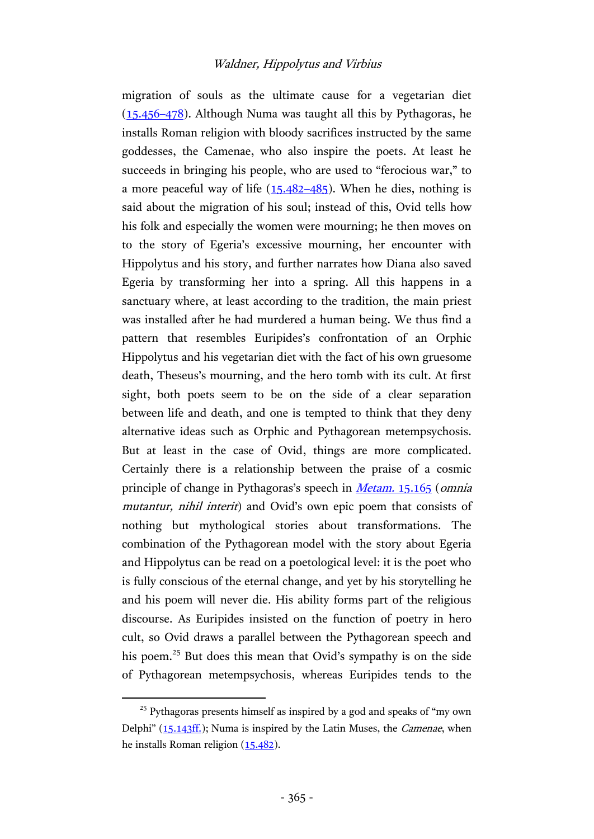migration of souls as the ultimate cause for a vegetarian diet [\(15.456](http://hdl.handle.net/2027/mdp.39015005497766?urlappend=%3Bseq=408)–478). Although Numa was taught all this by Pythagoras, he installs Roman religion with bloody sacrifices instructed by the same goddesses, the Camenae, who also inspire the poets. At least he succeeds in bringing his people, who are used to "ferocious war," to a more peaceful way of life  $(15.482 - 485)$  $(15.482 - 485)$ . When he dies, nothing is said about the migration of his soul; instead of this, Ovid tells how his folk and especially the women were mourning; he then moves on to the story of Egeria's excessive mourning, her encounter with Hippolytus and his story, and further narrates how Diana also saved Egeria by transforming her into a spring. All this happens in a sanctuary where, at least according to the tradition, the main priest was installed after he had murdered a human being. We thus find a pattern that resembles Euripides's confrontation of an Orphic Hippolytus and his vegetarian diet with the fact of his own gruesome death, Theseus's mourning, and the hero tomb with its cult. At first sight, both poets seem to be on the side of a clear separation between life and death, and one is tempted to think that they deny alternative ideas such as Orphic and Pythagorean metempsychosis. But at least in the case of Ovid, things are more complicated. Certainly there is a relationship between the praise of a cosmic principle of change in Pythagoras's speech in Metam. [15.165](http://hdl.handle.net/2027/mdp.39015005497766?urlappend=%3Bseq=388) (omnia mutantur, nihil interit) and Ovid's own epic poem that consists of nothing but mythological stories about transformations. The combination of the Pythagorean model with the story about Egeria and Hippolytus can be read on a poetological level: it is the poet who is fully conscious of the eternal change, and yet by his storytelling he and his poem will never die. His ability forms part of the religious discourse. As Euripides insisted on the function of poetry in hero cult, so Ovid draws a parallel between the Pythagorean speech and his poem.<sup>25</sup> But does this mean that Ovid's sympathy is on the side of Pythagorean metempsychosis, whereas Euripides tends to the

<sup>&</sup>lt;sup>25</sup> Pythagoras presents himself as inspired by a god and speaks of "my own Delphi" ([15.143ff.\)](http://hdl.handle.net/2027/mdp.39015005497766?urlappend=%3Bseq=386); Numa is inspired by the Latin Muses, the *Camenae*, when he installs Roman religion [\(15.482\)](http://hdl.handle.net/2027/mdp.39015005497766?urlappend=%3Bseq=410).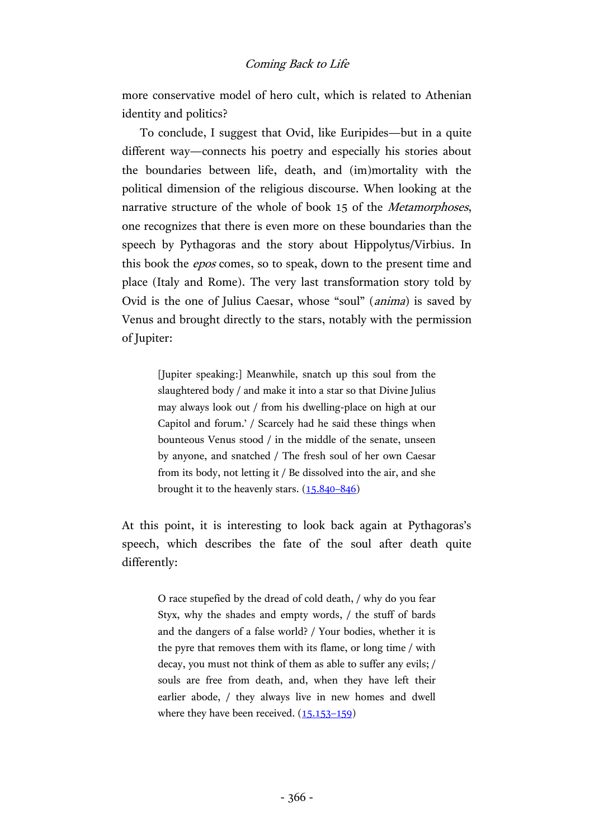more conservative model of hero cult, which is related to Athenian identity and politics?

To conclude, I suggest that Ovid, like Euripides—but in a quite different way—connects his poetry and especially his stories about the boundaries between life, death, and (im)mortality with the political dimension of the religious discourse. When looking at the narrative structure of the whole of book 15 of the Metamorphoses, one recognizes that there is even more on these boundaries than the speech by Pythagoras and the story about Hippolytus/Virbius. In this book the epos comes, so to speak, down to the present time and place (Italy and Rome). The very last transformation story told by Ovid is the one of Julius Caesar, whose "soul" (anima) is saved by Venus and brought directly to the stars, notably with the permission of Jupiter:

> [Jupiter speaking:] Meanwhile, snatch up this soul from the slaughtered body / and make it into a star so that Divine Julius may always look out / from his dwelling-place on high at our Capitol and forum.' / Scarcely had he said these things when bounteous Venus stood / in the middle of the senate, unseen by anyone, and snatched / The fresh soul of her own Caesar from its body, not letting it / Be dissolved into the air, and she brought it to the heavenly stars. [\(15.840](http://hdl.handle.net/2027/mdp.39015005497766?urlappend=%3Bseq=436)–846)

At this point, it is interesting to look back again at Pythagoras's speech, which describes the fate of the soul after death quite differently:

> O race stupefied by the dread of cold death, / why do you fear Styx, why the shades and empty words, / the stuff of bards and the dangers of a false world? / Your bodies, whether it is the pyre that removes them with its flame, or long time / with decay, you must not think of them as able to suffer any evils; / souls are free from death, and, when they have left their earlier abode, / they always live in new homes and dwell where they have been received.  $(15.153-159)$  $(15.153-159)$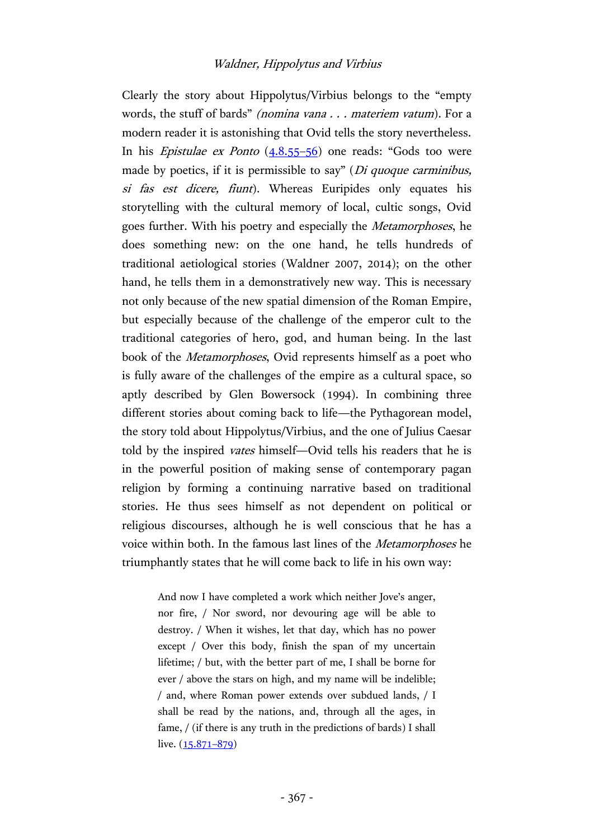Clearly the story about Hippolytus/Virbius belongs to the "empty words, the stuff of bards" (nomina vana . . . materiem vatum). For a modern reader it is astonishing that Ovid tells the story nevertheless. In his *Epistulae ex Ponto*  $(4.8.55-56)$  $(4.8.55-56)$  one reads: "Gods too were made by poetics, if it is permissible to say" (*Di quoque carminibus*, si fas est dicere, fiunt). Whereas Euripides only equates his storytelling with the cultural memory of local, cultic songs, Ovid goes further. With his poetry and especially the Metamorphoses, he does something new: on the one hand, he tells hundreds of traditional aetiological stories (Waldner 2007, 2014); on the other hand, he tells them in a demonstratively new way. This is necessary not only because of the new spatial dimension of the Roman Empire, but especially because of the challenge of the emperor cult to the traditional categories of hero, god, and human being. In the last book of the Metamorphoses, Ovid represents himself as a poet who is fully aware of the challenges of the empire as a cultural space, so aptly described by Glen Bowersock (1994). In combining three different stories about coming back to life—the Pythagorean model, the story told about Hippolytus/Virbius, and the one of Julius Caesar told by the inspired vates himself—Ovid tells his readers that he is in the powerful position of making sense of contemporary pagan religion by forming a continuing narrative based on traditional stories. He thus sees himself as not dependent on political or religious discourses, although he is well conscious that he has a voice within both. In the famous last lines of the Metamorphoses he triumphantly states that he will come back to life in his own way:

> And now I have completed a work which neither Jove's anger, nor fire, / Nor sword, nor devouring age will be able to destroy. / When it wishes, let that day, which has no power except / Over this body, finish the span of my uncertain lifetime; / but, with the better part of me, I shall be borne for ever / above the stars on high, and my name will be indelible; / and, where Roman power extends over subdued lands, / I shall be read by the nations, and, through all the ages, in fame, / (if there is any truth in the predictions of bards) I shall live.  $(15.871 - 879)$  $(15.871 - 879)$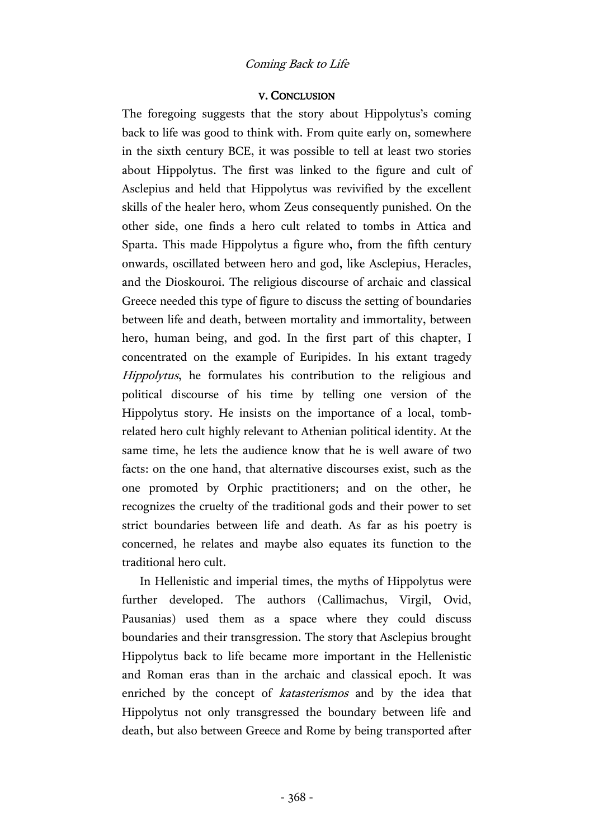### V. CONCLUSION

The foregoing suggests that the story about Hippolytus's coming back to life was good to think with. From quite early on, somewhere in the sixth century BCE, it was possible to tell at least two stories about Hippolytus. The first was linked to the figure and cult of Asclepius and held that Hippolytus was revivified by the excellent skills of the healer hero, whom Zeus consequently punished. On the other side, one finds a hero cult related to tombs in Attica and Sparta. This made Hippolytus a figure who, from the fifth century onwards, oscillated between hero and god, like Asclepius, Heracles, and the Dioskouroi. The religious discourse of archaic and classical Greece needed this type of figure to discuss the setting of boundaries between life and death, between mortality and immortality, between hero, human being, and god. In the first part of this chapter, I concentrated on the example of Euripides. In his extant tragedy Hippolytus, he formulates his contribution to the religious and political discourse of his time by telling one version of the Hippolytus story. He insists on the importance of a local, tombrelated hero cult highly relevant to Athenian political identity. At the same time, he lets the audience know that he is well aware of two facts: on the one hand, that alternative discourses exist, such as the one promoted by Orphic practitioners; and on the other, he recognizes the cruelty of the traditional gods and their power to set strict boundaries between life and death. As far as his poetry is concerned, he relates and maybe also equates its function to the traditional hero cult.

In Hellenistic and imperial times, the myths of Hippolytus were further developed. The authors (Callimachus, Virgil, Ovid, Pausanias) used them as a space where they could discuss boundaries and their transgression. The story that Asclepius brought Hippolytus back to life became more important in the Hellenistic and Roman eras than in the archaic and classical epoch. It was enriched by the concept of *katasterismos* and by the idea that Hippolytus not only transgressed the boundary between life and death, but also between Greece and Rome by being transported after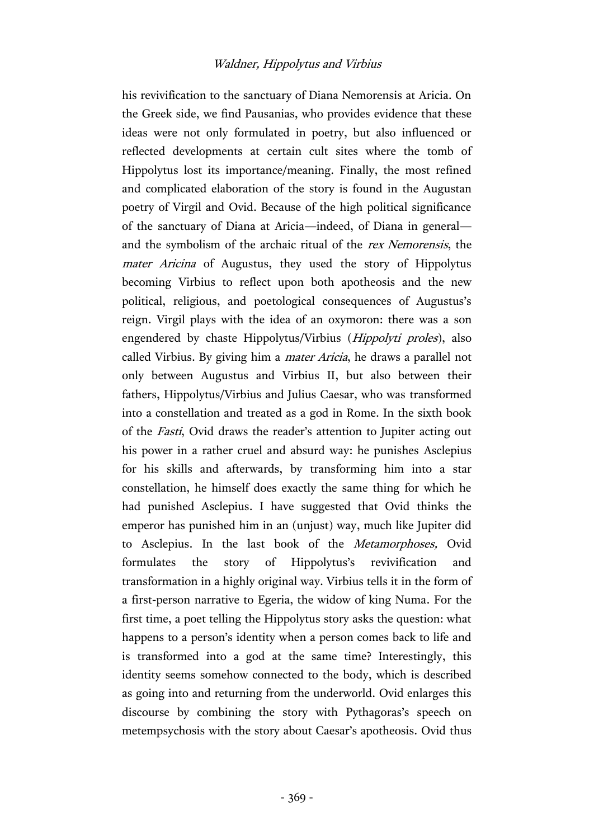his revivification to the sanctuary of Diana Nemorensis at Aricia. On the Greek side, we find Pausanias, who provides evidence that these ideas were not only formulated in poetry, but also influenced or reflected developments at certain cult sites where the tomb of Hippolytus lost its importance/meaning. Finally, the most refined and complicated elaboration of the story is found in the Augustan poetry of Virgil and Ovid. Because of the high political significance of the sanctuary of Diana at Aricia—indeed, of Diana in general and the symbolism of the archaic ritual of the rex Nemorensis, the mater Aricina of Augustus, they used the story of Hippolytus becoming Virbius to reflect upon both apotheosis and the new political, religious, and poetological consequences of Augustus's reign. Virgil plays with the idea of an oxymoron: there was a son engendered by chaste Hippolytus/Virbius (Hippolyti proles), also called Virbius. By giving him a mater Aricia, he draws a parallel not only between Augustus and Virbius II, but also between their fathers, Hippolytus/Virbius and Julius Caesar, who was transformed into a constellation and treated as a god in Rome. In the sixth book of the Fasti, Ovid draws the reader's attention to Jupiter acting out his power in a rather cruel and absurd way: he punishes Asclepius for his skills and afterwards, by transforming him into a star constellation, he himself does exactly the same thing for which he had punished Asclepius. I have suggested that Ovid thinks the emperor has punished him in an (unjust) way, much like Jupiter did to Asclepius. In the last book of the Metamorphoses, Ovid formulates the story of Hippolytus's revivification and transformation in a highly original way. Virbius tells it in the form of a first-person narrative to Egeria, the widow of king Numa. For the first time, a poet telling the Hippolytus story asks the question: what happens to a person's identity when a person comes back to life and is transformed into a god at the same time? Interestingly, this identity seems somehow connected to the body, which is described as going into and returning from the underworld. Ovid enlarges this discourse by combining the story with Pythagoras's speech on metempsychosis with the story about Caesar's apotheosis. Ovid thus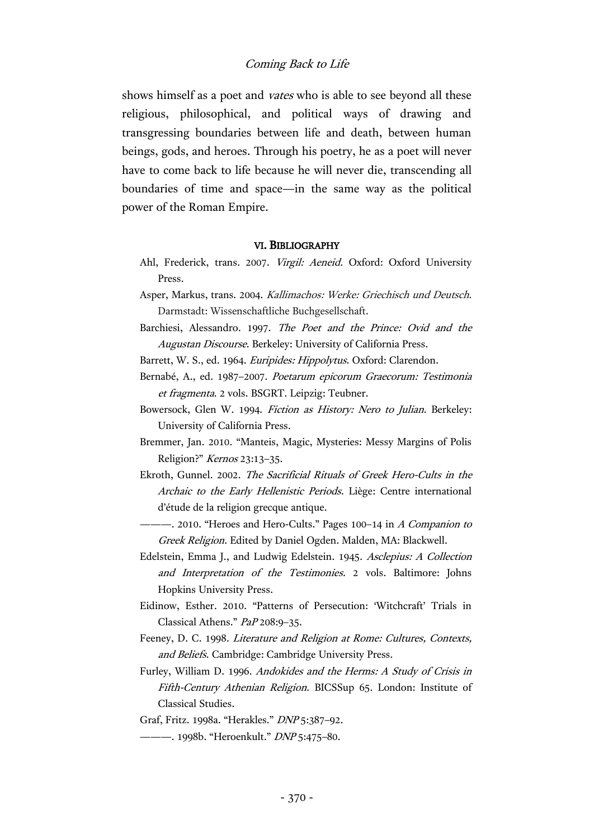shows himself as a poet and vates who is able to see beyond all these religious, philosophical, and political ways of drawing and transgressing boundaries between life and death, between human beings, gods, and heroes. Through his poetry, he as a poet will never have to come back to life because he will never die, transcending all boundaries of time and space—in the same way as the political power of the Roman Empire.

#### VI. BIBLIOGRAPHY

- Ahl, Frederick, trans. 2007. Virgil: Aeneid. Oxford: Oxford University Press.
- Asper, Markus, trans. 2004. Kallimachos: Werke: Griechisch und Deutsch. Darmstadt: Wissenschaftliche Buchgesellschaft.
- Barchiesi, Alessandro. 1997. The Poet and the Prince: Ovid and the Augustan Discourse. Berkeley: University of California Press.
- Barrett, W. S., ed. 1964. Euripides: Hippolytus. Oxford: Clarendon.
- Bernabé, A., ed. 1987–2007. Poetarum epicorum Graecorum: Testimonia et fragmenta. 2 vols. BSGRT. Leipzig: Teubner.
- Bowersock, Glen W. 1994. Fiction as History: Nero to Julian. Berkeley: University of California Press.
- Bremmer, Jan. 2010. "Manteis, Magic, Mysteries: Messy Margins of Polis Religion?" Kernos 23:13–35.
- Ekroth, Gunnel. 2002. The Sacrificial Rituals of Greek Hero-Cults in the Archaic to the Early Hellenistic Periods. Liège: Centre international d'étude de la religion grecque antique.
- -. 2010. "Heroes and Hero-Cults." Pages 100-14 in A Companion to Greek Religion. Edited by Daniel Ogden. Malden, MA: Blackwell.

Edelstein, Emma J., and Ludwig Edelstein. 1945. Asclepius: A Collection and Interpretation of the Testimonies. 2 vols. Baltimore: Johns Hopkins University Press.

- Eidinow, Esther. 2010. "Patterns of Persecution: 'Witchcraft' Trials in Classical Athens." PaP 208:9–35.
- Feeney, D. C. 1998. Literature and Religion at Rome: Cultures, Contexts, and Beliefs. Cambridge: Cambridge University Press.
- Furley, William D. 1996. Andokides and the Herms: A Study of Crisis in Fifth-Century Athenian Religion. BICSSup 65. London: Institute of Classical Studies.
- Graf, Fritz. 1998a. "Herakles." DNP 5:387–92.
- ---- 1998b. "Heroenkult." DNP 5:475-80.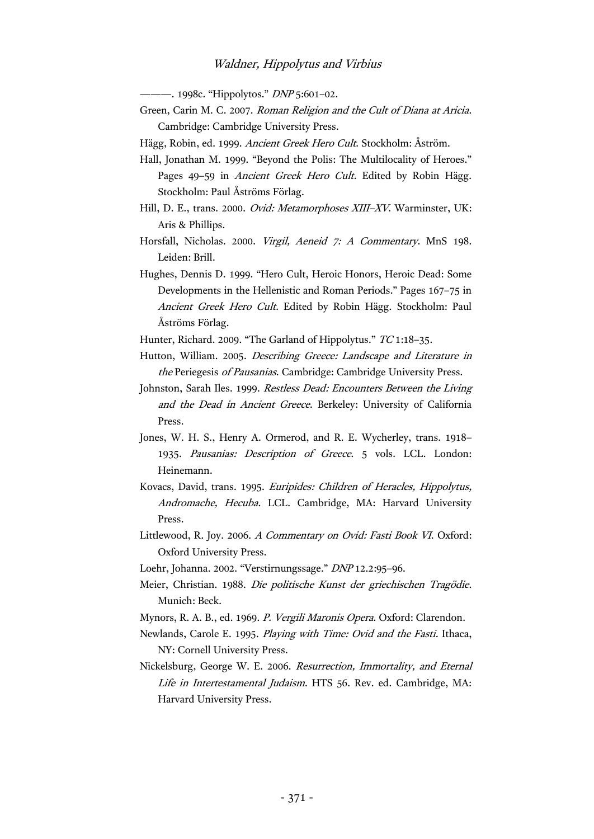———. 1998c. "Hippolytos." *DNP* 5:601-02.

- Green, Carin M. C. 2007. Roman Religion and the Cult of Diana at Aricia. Cambridge: Cambridge University Press.
- Hägg, Robin, ed. 1999. Ancient Greek Hero Cult. Stockholm: Åström.
- Hall, Jonathan M. 1999. "Beyond the Polis: The Multilocality of Heroes." Pages 49–59 in *Ancient Greek Hero Cult*. Edited by Robin Hägg. Stockholm: Paul Åströms Förlag.
- Hill, D. E., trans. 2000. Ovid: Metamorphoses XIII-XV. Warminster, UK: Aris & Phillips.
- Horsfall, Nicholas. 2000. Virgil, Aeneid 7: A Commentary. MnS 198. Leiden: Brill.
- Hughes, Dennis D. 1999. "Hero Cult, Heroic Honors, Heroic Dead: Some Developments in the Hellenistic and Roman Periods." Pages 167–75 in Ancient Greek Hero Cult. Edited by Robin Hägg. Stockholm: Paul Åströms Förlag.

Hunter, Richard. 2009. "The Garland of Hippolytus." TC 1:18-35.

- Hutton, William. 2005. Describing Greece: Landscape and Literature in the Periegesis of Pausanias. Cambridge: Cambridge University Press.
- Johnston, Sarah Iles. 1999. Restless Dead: Encounters Between the Living and the Dead in Ancient Greece. Berkeley: University of California Press.
- Jones, W. H. S., Henry A. Ormerod, and R. E. Wycherley, trans. 1918– 1935. Pausanias: Description of Greece. 5 vols. LCL. London: Heinemann.
- Kovacs, David, trans. 1995. Euripides: Children of Heracles, Hippolytus, Andromache, Hecuba. LCL. Cambridge, MA: Harvard University Press.
- Littlewood, R. Joy. 2006. A Commentary on Ovid: Fasti Book VI. Oxford: Oxford University Press.
- Loehr, Johanna. 2002. "Verstirnungssage." DNP 12.2:95–96.
- Meier, Christian. 1988. Die politische Kunst der griechischen Tragödie. Munich: Beck.
- Mynors, R. A. B., ed. 1969. P. Vergili Maronis Opera. Oxford: Clarendon.
- Newlands, Carole E. 1995. Playing with Time: Ovid and the Fasti. Ithaca, NY: Cornell University Press.

Nickelsburg, George W. E. 2006. Resurrection, Immortality, and Eternal Life in Intertestamental Judaism. HTS 56. Rev. ed. Cambridge, MA: Harvard University Press.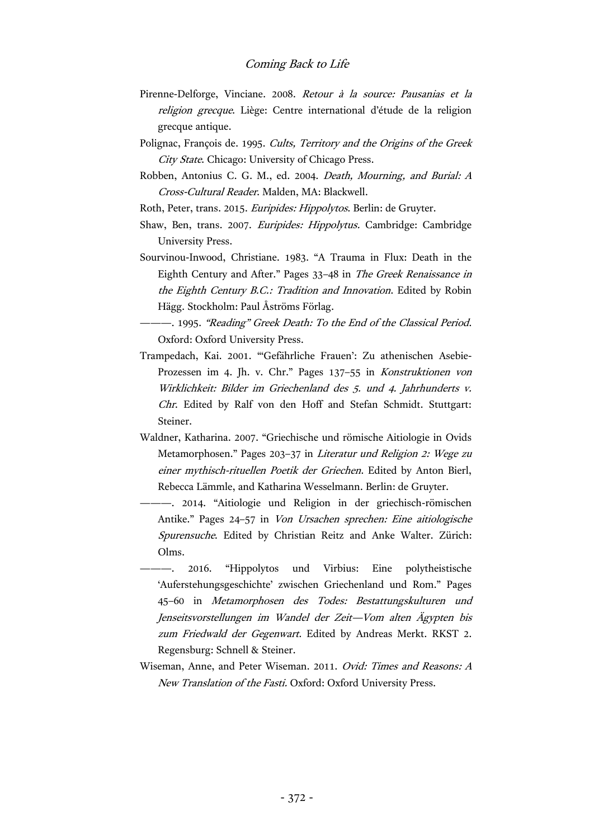- Pirenne-Delforge, Vinciane. 2008. Retour à la source: Pausanias et la religion grecque. Liège: Centre international d'étude de la religion grecque antique.
- Polignac, François de. 1995. Cults, Territory and the Origins of the Greek City State. Chicago: University of Chicago Press.
- Robben, Antonius C. G. M., ed. 2004. Death, Mourning, and Burial: A Cross-Cultural Reader. Malden, MA: Blackwell.
- Roth, Peter, trans. 2015. Euripides: Hippolytos. Berlin: de Gruyter.
- Shaw, Ben, trans. 2007. Euripides: Hippolytus. Cambridge: Cambridge University Press.
- Sourvinou-Inwood, Christiane. 1983. "A Trauma in Flux: Death in the Eighth Century and After." Pages 33–48 in The Greek Renaissance in the Eighth Century B.C.: Tradition and Innovation. Edited by Robin Hägg. Stockholm: Paul Åströms Förlag.
- --. 1995. "Reading" Greek Death: To the End of the Classical Period. Oxford: Oxford University Press.
- Trampedach, Kai. 2001. "'Gefährliche Frauen': Zu athenischen Asebie-Prozessen im 4. Jh. v. Chr." Pages 137–55 in Konstruktionen von Wirklichkeit: Bilder im Griechenland des 5. und 4. Jahrhunderts v. Chr. Edited by Ralf von den Hoff and Stefan Schmidt. Stuttgart: Steiner.
- Waldner, Katharina. 2007. "Griechische und römische Aitiologie in Ovids Metamorphosen." Pages 203–37 in Literatur und Religion 2: Wege zu einer mythisch-rituellen Poetik der Griechen. Edited by Anton Bierl, Rebecca Lämmle, and Katharina Wesselmann. Berlin: de Gruyter.
	- ———. 2014. "Aitiologie und Religion in der griechisch-römischen Antike." Pages 24–57 in Von Ursachen sprechen: Eine aitiologische Spurensuche. Edited by Christian Reitz and Anke Walter. Zürich: Olms.
- ———. 2016. "Hippolytos und Virbius: Eine polytheistische 'Auferstehungsgeschichte' zwischen Griechenland und Rom." Pages 45–60 in Metamorphosen des Todes: Bestattungskulturen und Jenseitsvorstellungen im Wandel der Zeit—Vom alten Ägypten bis zum Friedwald der Gegenwart. Edited by Andreas Merkt. RKST 2. Regensburg: Schnell & Steiner.
- Wiseman, Anne, and Peter Wiseman. 2011. Ovid: Times and Reasons: <sup>A</sup> New Translation of the Fasti. Oxford: Oxford University Press.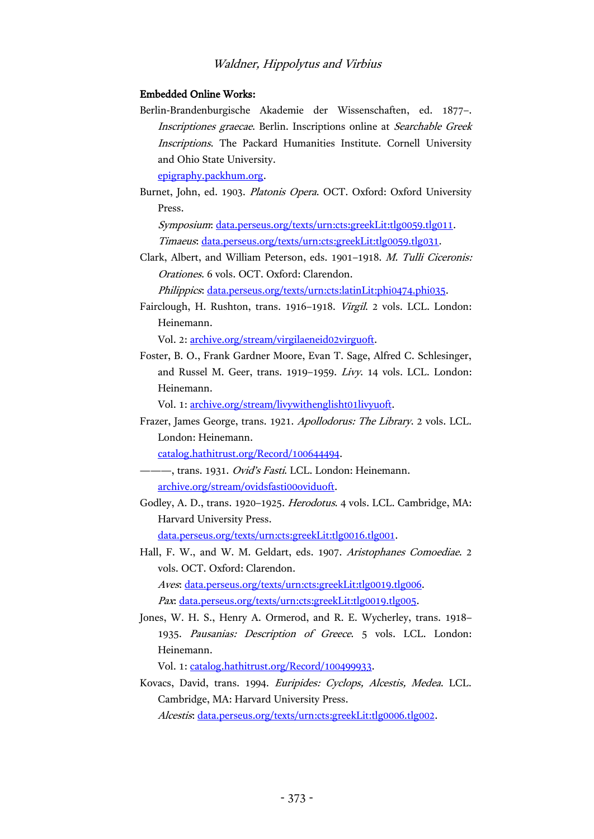### Embedded Online Works:

Berlin-Brandenburgische Akademie der Wissenschaften, ed. 1877–. Inscriptiones graecae. Berlin. Inscriptions online at Searchable Greek Inscriptions. The Packard Humanities Institute. Cornell University and Ohio State University.

[epigraphy.packhum.org.](http://epigraphy.packhum.org/)

Burnet, John, ed. 1903. Platonis Opera. OCT. Oxford: Oxford University Press.

Symposium: [data.perseus.org/texts/urn:cts:greekLit:tlg0059.tlg011.](http://data.perseus.org/texts/urn:cts:greekLit:tlg0059.tlg011) Timaeus: [data.perseus.org/texts/urn:cts:greekLit:tlg0059.tlg031.](http://data.perseus.org/texts/urn:cts:greekLit:tlg0059.tlg031)

Clark, Albert, and William Peterson, eds. 1901–1918. M. Tulli Ciceronis: Orationes. 6 vols. OCT. Oxford: Clarendon.

Philippics[: data.perseus.org/texts/urn:cts:latinLit:phi0474.phi035.](http://data.perseus.org/texts/urn:cts:latinLit:phi0474.phi035)

Fairclough, H. Rushton, trans. 1916–1918. Virgil. 2 vols. LCL. London: Heinemann.

Vol. 2: [archive.org/stream/virgilaeneid02virguoft.](https://archive.org/stream/virgilaeneid02virguoft)

Foster, B. O., Frank Gardner Moore, Evan T. Sage, Alfred C. Schlesinger, and Russel M. Geer, trans. 1919–1959. Livy. 14 vols. LCL. London: Heinemann.

Vol. 1: [archive.org/stream/livywithenglisht01livyuoft.](https://archive.org/stream/livywithenglisht01livyuoft)

Frazer, James George, trans. 1921. Apollodorus: The Library. 2 vols. LCL. London: Heinemann.

[catalog.hathitrust.org/Record/100644494.](https://catalog.hathitrust.org/Record/100644494)

- -, trans. 1931. Ovid's Fasti. LCL. London: Heinemann. [archive.org/stream/ovidsfasti00oviduoft.](https://archive.org/stream/ovidsfasti00oviduoft)
- Godley, A. D., trans. 1920–1925. Herodotus. 4 vols. LCL. Cambridge, MA: Harvard University Press.

[data.perseus.org/texts/urn:cts:greekLit:tlg0016.tlg001.](http://data.perseus.org/texts/urn:cts:greekLit:tlg0016.tlg001)

Hall, F. W., and W. M. Geldart, eds. 1907. Aristophanes Comoediae. 2 vols. OCT. Oxford: Clarendon. Aves: [data.perseus.org/texts/urn:cts:greekLit:tlg0019.tlg006.](http://data.perseus.org/texts/urn:cts:greekLit:tlg0019.tlg006)

Pax: [data.perseus.org/texts/urn:cts:greekLit:tlg0019.tlg005.](http://data.perseus.org/texts/urn:cts:greekLit:tlg0019.tlg005)

Jones, W. H. S., Henry A. Ormerod, and R. E. Wycherley, trans. 1918– 1935. Pausanias: Description of Greece. 5 vols. LCL. London: Heinemann.

Vol. 1: [catalog.hathitrust.org/Record/100499933.](https://catalog.hathitrust.org/Record/100499933)

Kovacs, David, trans. 1994. Euripides: Cyclops, Alcestis, Medea. LCL. Cambridge, MA: Harvard University Press. Alcestis: [data.perseus.org/texts/urn:cts:greekLit:tlg0006.tlg002.](http://data.perseus.org/texts/urn:cts:greekLit:tlg0006.tlg002)